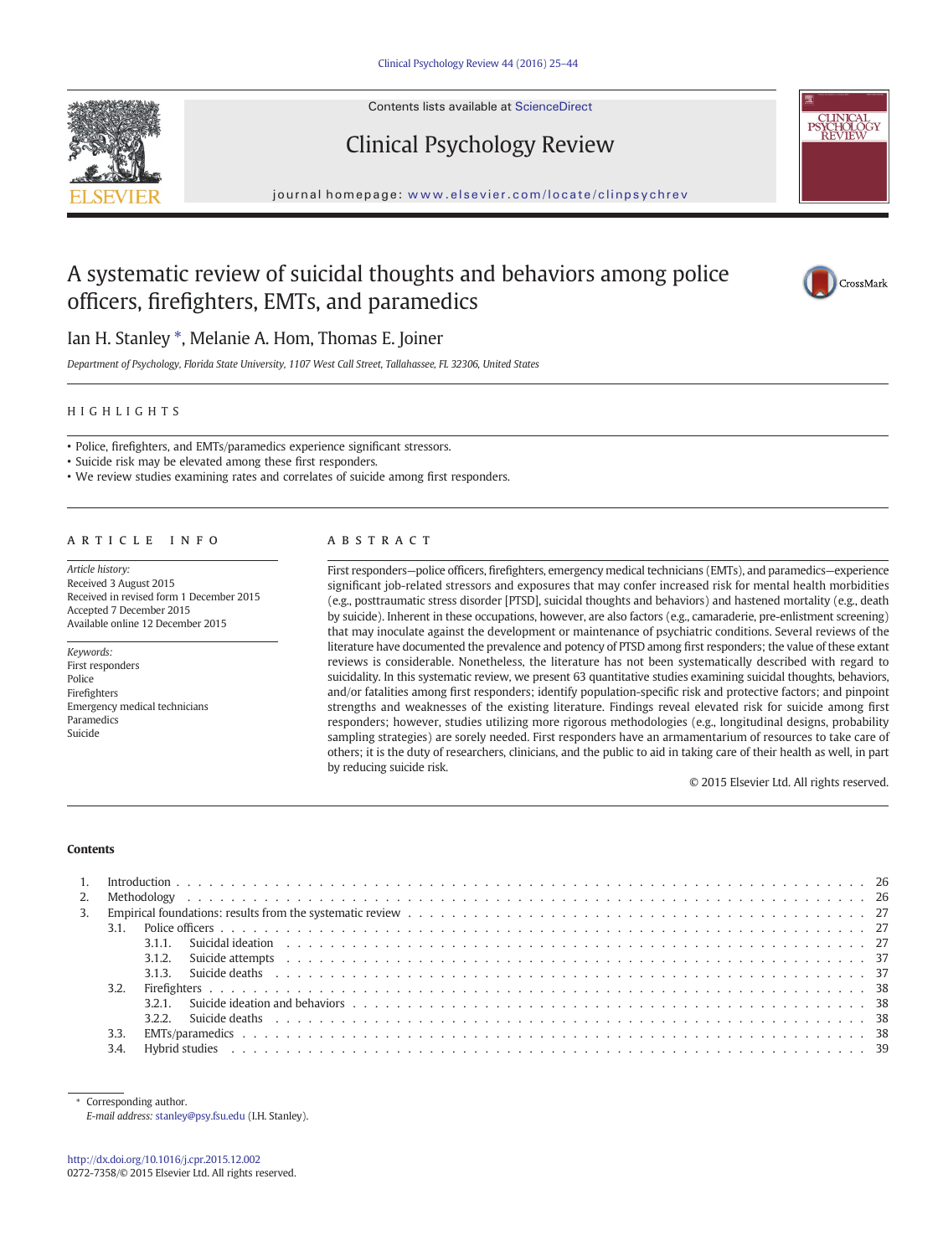

Contents lists available at ScienceDirect

# Clinical Psychology Review



# A systematic review of suicidal thoughts and behaviors among police officers, firefighters, EMTs, and paramedics



## Ian H. Stanley ⁎, Melanie A. Hom, Thomas E. Joiner

Department of Psychology, Florida State University, 1107 West Call Street, Tallahassee, FL 32306, United States

### HIGHLIGHTS

• Police, firefighters, and EMTs/paramedics experience significant stressors.

• Suicide risk may be elevated among these first responders.

• We review studies examining rates and correlates of suicide among first responders.

#### article info abstract

Article history: Received 3 August 2015 Received in revised form 1 December 2015 Accepted 7 December 2015 Available online 12 December 2015

Keywords: First responders Police Firefighters Emergency medical technicians Paramedics Suicide

First responders—police officers, firefighters, emergency medical technicians (EMTs), and paramedics—experience significant job-related stressors and exposures that may confer increased risk for mental health morbidities (e.g., posttraumatic stress disorder [PTSD], suicidal thoughts and behaviors) and hastened mortality (e.g., death by suicide). Inherent in these occupations, however, are also factors (e.g., camaraderie, pre-enlistment screening) that may inoculate against the development or maintenance of psychiatric conditions. Several reviews of the literature have documented the prevalence and potency of PTSD among first responders; the value of these extant reviews is considerable. Nonetheless, the literature has not been systematically described with regard to suicidality. In this systematic review, we present 63 quantitative studies examining suicidal thoughts, behaviors, and/or fatalities among first responders; identify population-specific risk and protective factors; and pinpoint strengths and weaknesses of the existing literature. Findings reveal elevated risk for suicide among first responders; however, studies utilizing more rigorous methodologies (e.g., longitudinal designs, probability sampling strategies) are sorely needed. First responders have an armamentarium of resources to take care of others; it is the duty of researchers, clinicians, and the public to aid in taking care of their health as well, in part by reducing suicide risk.

© 2015 Elsevier Ltd. All rights reserved.

#### **Contents**

|      | 3.1.3. Suicide deaths response to response the control of the control of the control of the control of the control of the control of the control of the control of the control of the control of the control of the control of |  |
|------|--------------------------------------------------------------------------------------------------------------------------------------------------------------------------------------------------------------------------------|--|
| 3.2. |                                                                                                                                                                                                                                |  |
|      |                                                                                                                                                                                                                                |  |
|      |                                                                                                                                                                                                                                |  |
| 3.3. |                                                                                                                                                                                                                                |  |
| 3.4. | Hybrid studies in the contract of the contract of the contract of the contract of the contract of the contract of the contract of the contract of the contract of the contract of the contract of the contract of the contract |  |

Corresponding author.

E-mail address: [stanley@psy.fsu.edu](mailto:stanley@psy.fsu.edu) (I.H. Stanley).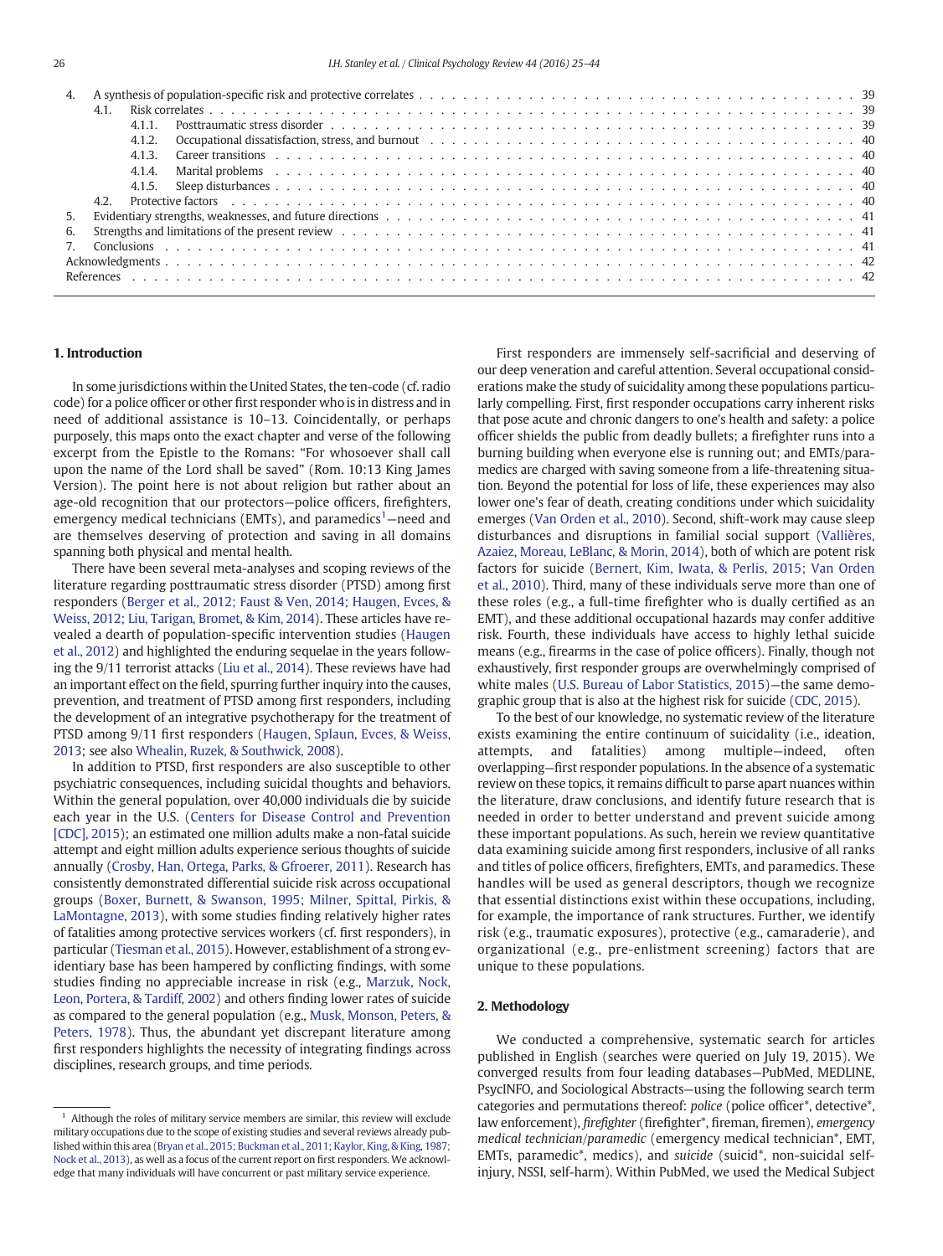|    | 4.1. |        |                                                                                                                                                                                                                                |
|----|------|--------|--------------------------------------------------------------------------------------------------------------------------------------------------------------------------------------------------------------------------------|
|    |      |        |                                                                                                                                                                                                                                |
|    |      | 4.1.2. | Occupational dissatisfaction, stress, and burnout edge interest in the content of the content of the content of the content of the content of the content of the content of the content of the content of the content of the c |
|    |      | 4.1.3. |                                                                                                                                                                                                                                |
|    |      |        |                                                                                                                                                                                                                                |
|    |      |        |                                                                                                                                                                                                                                |
|    | 4.2. |        |                                                                                                                                                                                                                                |
| 5. |      |        |                                                                                                                                                                                                                                |
| 6. |      |        |                                                                                                                                                                                                                                |
|    |      |        |                                                                                                                                                                                                                                |
|    |      |        |                                                                                                                                                                                                                                |
|    |      |        |                                                                                                                                                                                                                                |
|    |      |        |                                                                                                                                                                                                                                |

### 1. Introduction

In some jurisdictions within the United States, the ten-code (cf. radio code) for a police officer or other first responder who is in distress and in need of additional assistance is 10–13. Coincidentally, or perhaps purposely, this maps onto the exact chapter and verse of the following excerpt from the Epistle to the Romans: "For whosoever shall call upon the name of the Lord shall be saved" (Rom. 10:13 King James Version). The point here is not about religion but rather about an age-old recognition that our protectors—police officers, firefighters, emergency medical technicians (EMTs), and paramedics<sup>1</sup>—need and are themselves deserving of protection and saving in all domains spanning both physical and mental health.

There have been several meta-analyses and scoping reviews of the literature regarding posttraumatic stress disorder (PTSD) among first responders [\(Berger et al., 2012; Faust & Ven, 2014; Haugen, Evces, &](#page-17-0) [Weiss, 2012; Liu, Tarigan, Bromet, & Kim, 2014\)](#page-17-0). These articles have revealed a dearth of population-specific intervention studies ([Haugen](#page-17-0) [et al., 2012](#page-17-0)) and highlighted the enduring sequelae in the years following the 9/11 terrorist attacks ([Liu et al., 2014](#page-18-0)). These reviews have had an important effect on the field, spurring further inquiry into the causes, prevention, and treatment of PTSD among first responders, including the development of an integrative psychotherapy for the treatment of PTSD among 9/11 first responders [\(Haugen, Splaun, Evces, & Weiss,](#page-17-0) [2013;](#page-17-0) see also [Whealin, Ruzek, & Southwick, 2008\)](#page-19-0).

In addition to PTSD, first responders are also susceptible to other psychiatric consequences, including suicidal thoughts and behaviors. Within the general population, over 40,000 individuals die by suicide each year in the U.S. [\(Centers for Disease Control and Prevention](#page-17-0) [\[CDC\], 2015\)](#page-17-0); an estimated one million adults make a non-fatal suicide attempt and eight million adults experience serious thoughts of suicide annually ([Crosby, Han, Ortega, Parks, & Gfroerer, 2011](#page-17-0)). Research has consistently demonstrated differential suicide risk across occupational groups ([Boxer, Burnett, & Swanson, 1995; Milner, Spittal, Pirkis, &](#page-17-0) [LaMontagne, 2013\)](#page-17-0), with some studies finding relatively higher rates of fatalities among protective services workers (cf. first responders), in particular [\(Tiesman et al., 2015\)](#page-18-0). However, establishment of a strong evidentiary base has been hampered by conflicting findings, with some studies finding no appreciable increase in risk (e.g., [Marzuk, Nock,](#page-18-0) [Leon, Portera, & Tardiff, 2002](#page-18-0)) and others finding lower rates of suicide as compared to the general population (e.g., [Musk, Monson, Peters, &](#page-18-0) [Peters, 1978](#page-18-0)). Thus, the abundant yet discrepant literature among first responders highlights the necessity of integrating findings across disciplines, research groups, and time periods.

First responders are immensely self-sacrificial and deserving of our deep veneration and careful attention. Several occupational considerations make the study of suicidality among these populations particularly compelling. First, first responder occupations carry inherent risks that pose acute and chronic dangers to one's health and safety: a police officer shields the public from deadly bullets; a firefighter runs into a burning building when everyone else is running out; and EMTs/paramedics are charged with saving someone from a life-threatening situation. Beyond the potential for loss of life, these experiences may also lower one's fear of death, creating conditions under which suicidality emerges ([Van Orden et al., 2010](#page-18-0)). Second, shift-work may cause sleep disturbances and disruptions in familial social support [\(Vallières,](#page-18-0) [Azaiez, Moreau, LeBlanc, & Morin, 2014\)](#page-18-0), both of which are potent risk factors for suicide ([Bernert, Kim, Iwata, & Perlis, 2015; Van Orden](#page-17-0) [et al., 2010](#page-17-0)). Third, many of these individuals serve more than one of these roles (e.g., a full-time firefighter who is dually certified as an EMT), and these additional occupational hazards may confer additive risk. Fourth, these individuals have access to highly lethal suicide means (e.g., firearms in the case of police officers). Finally, though not exhaustively, first responder groups are overwhelmingly comprised of white males [\(U.S. Bureau of Labor Statistics, 2015](#page-18-0))—the same demographic group that is also at the highest risk for suicide [\(CDC, 2015\)](#page-17-0).

To the best of our knowledge, no systematic review of the literature exists examining the entire continuum of suicidality (i.e., ideation, attempts, and fatalities) among multiple—indeed, often overlapping—first responder populations. In the absence of a systematic review on these topics, it remains difficult to parse apart nuances within the literature, draw conclusions, and identify future research that is needed in order to better understand and prevent suicide among these important populations. As such, herein we review quantitative data examining suicide among first responders, inclusive of all ranks and titles of police officers, firefighters, EMTs, and paramedics. These handles will be used as general descriptors, though we recognize that essential distinctions exist within these occupations, including, for example, the importance of rank structures. Further, we identify risk (e.g., traumatic exposures), protective (e.g., camaraderie), and organizational (e.g., pre-enlistment screening) factors that are unique to these populations.

#### 2. Methodology

We conducted a comprehensive, systematic search for articles published in English (searches were queried on July 19, 2015). We converged results from four leading databases—PubMed, MEDLINE, PsycINFO, and Sociological Abstracts—using the following search term categories and permutations thereof: police (police officer\*, detective\*, law enforcement), firefighter (firefighter\*, fireman, firemen), emergency medical technician/paramedic (emergency medical technician\*, EMT, EMTs, paramedic\*, medics), and suicide (suicid\*, non-suicidal selfinjury, NSSI, self-harm). Within PubMed, we used the Medical Subject

 $1$  Although the roles of military service members are similar, this review will exclude military occupations due to the scope of existing studies and several reviews already published within this area [\(Bryan et al., 2015; Buckman et al., 2011; Kaylor, King, & King, 1987;](#page-17-0) [Nock et al., 2013](#page-17-0)), as well as a focus of the current report on first responders. We acknowledge that many individuals will have concurrent or past military service experience.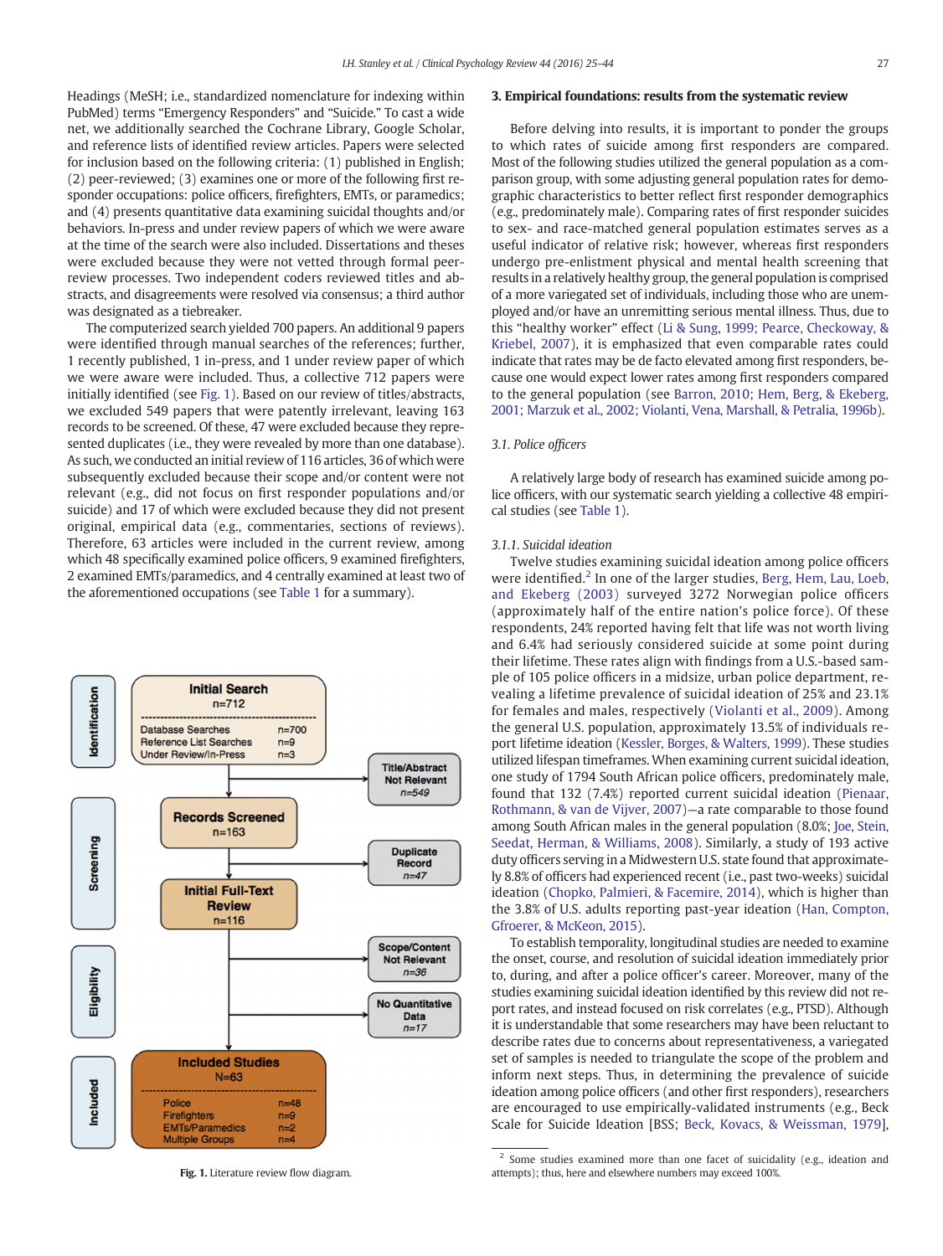Headings (MeSH; i.e., standardized nomenclature for indexing within PubMed) terms "Emergency Responders" and "Suicide." To cast a wide net, we additionally searched the Cochrane Library, Google Scholar, and reference lists of identified review articles. Papers were selected for inclusion based on the following criteria: (1) published in English; (2) peer-reviewed; (3) examines one or more of the following first responder occupations: police officers, firefighters, EMTs, or paramedics; and (4) presents quantitative data examining suicidal thoughts and/or behaviors. In-press and under review papers of which we were aware at the time of the search were also included. Dissertations and theses were excluded because they were not vetted through formal peerreview processes. Two independent coders reviewed titles and abstracts, and disagreements were resolved via consensus; a third author was designated as a tiebreaker.

The computerized search yielded 700 papers. An additional 9 papers were identified through manual searches of the references; further, 1 recently published, 1 in-press, and 1 under review paper of which we were aware were included. Thus, a collective 712 papers were initially identified (see Fig. 1). Based on our review of titles/abstracts, we excluded 549 papers that were patently irrelevant, leaving 163 records to be screened. Of these, 47 were excluded because they represented duplicates (i.e., they were revealed by more than one database). As such, we conducted an initial review of 116 articles, 36 of which were subsequently excluded because their scope and/or content were not relevant (e.g., did not focus on first responder populations and/or suicide) and 17 of which were excluded because they did not present original, empirical data (e.g., commentaries, sections of reviews). Therefore, 63 articles were included in the current review, among which 48 specifically examined police officers, 9 examined firefighters, 2 examined EMTs/paramedics, and 4 centrally examined at least two of the aforementioned occupations (see [Table 1](#page-3-0) for a summary).



Fig. 1. Literature review flow diagram.

#### 3. Empirical foundations: results from the systematic review

Before delving into results, it is important to ponder the groups to which rates of suicide among first responders are compared. Most of the following studies utilized the general population as a comparison group, with some adjusting general population rates for demographic characteristics to better reflect first responder demographics (e.g., predominately male). Comparing rates of first responder suicides to sex- and race-matched general population estimates serves as a useful indicator of relative risk; however, whereas first responders undergo pre-enlistment physical and mental health screening that results in a relatively healthy group, the general population is comprised of a more variegated set of individuals, including those who are unemployed and/or have an unremitting serious mental illness. Thus, due to this "healthy worker" effect ([Li & Sung, 1999; Pearce, Checkoway, &](#page-18-0) [Kriebel, 2007](#page-18-0)), it is emphasized that even comparable rates could indicate that rates may be de facto elevated among first responders, because one would expect lower rates among first responders compared to the general population (see [Barron, 2010; Hem, Berg, & Ekeberg,](#page-17-0) [2001; Marzuk et al., 2002; Violanti, Vena, Marshall, & Petralia, 1996b\)](#page-17-0).

### 3.1. Police officers

A relatively large body of research has examined suicide among police officers, with our systematic search yielding a collective 48 empirical studies (see [Table 1](#page-3-0)).

#### 3.1.1. Suicidal ideation

Twelve studies examining suicidal ideation among police officers were identified.<sup>2</sup> In one of the larger studies, [Berg, Hem, Lau, Loeb,](#page-17-0) [and Ekeberg \(2003\)](#page-17-0) surveyed 3272 Norwegian police officers (approximately half of the entire nation's police force). Of these respondents, 24% reported having felt that life was not worth living and 6.4% had seriously considered suicide at some point during their lifetime. These rates align with findings from a U.S.-based sample of 105 police officers in a midsize, urban police department, revealing a lifetime prevalence of suicidal ideation of 25% and 23.1% for females and males, respectively ([Violanti et al., 2009](#page-19-0)). Among the general U.S. population, approximately 13.5% of individuals report lifetime ideation [\(Kessler, Borges, & Walters, 1999](#page-18-0)). These studies utilized lifespan timeframes. When examining current suicidal ideation, one study of 1794 South African police officers, predominately male, found that 132 (7.4%) reported current suicidal ideation [\(Pienaar,](#page-18-0) [Rothmann, & van de Vijver, 2007\)](#page-18-0)—a rate comparable to those found among South African males in the general population (8.0%; [Joe, Stein,](#page-17-0) [Seedat, Herman, & Williams, 2008](#page-17-0)). Similarly, a study of 193 active duty officers serving in a Midwestern U.S. state found that approximately 8.8% of officers had experienced recent (i.e., past two-weeks) suicidal ideation ([Chopko, Palmieri, & Facemire, 2014](#page-17-0)), which is higher than the 3.8% of U.S. adults reporting past-year ideation [\(Han, Compton,](#page-17-0) [Gfroerer, & McKeon, 2015\)](#page-17-0).

To establish temporality, longitudinal studies are needed to examine the onset, course, and resolution of suicidal ideation immediately prior to, during, and after a police officer's career. Moreover, many of the studies examining suicidal ideation identified by this review did not report rates, and instead focused on risk correlates (e.g., PTSD). Although it is understandable that some researchers may have been reluctant to describe rates due to concerns about representativeness, a variegated set of samples is needed to triangulate the scope of the problem and inform next steps. Thus, in determining the prevalence of suicide ideation among police officers (and other first responders), researchers are encouraged to use empirically-validated instruments (e.g., Beck Scale for Suicide Ideation [BSS; [Beck, Kovacs, & Weissman, 1979\]](#page-17-0),

<sup>&</sup>lt;sup>2</sup> Some studies examined more than one facet of suicidality (e.g., ideation and attempts); thus, here and elsewhere numbers may exceed 100%.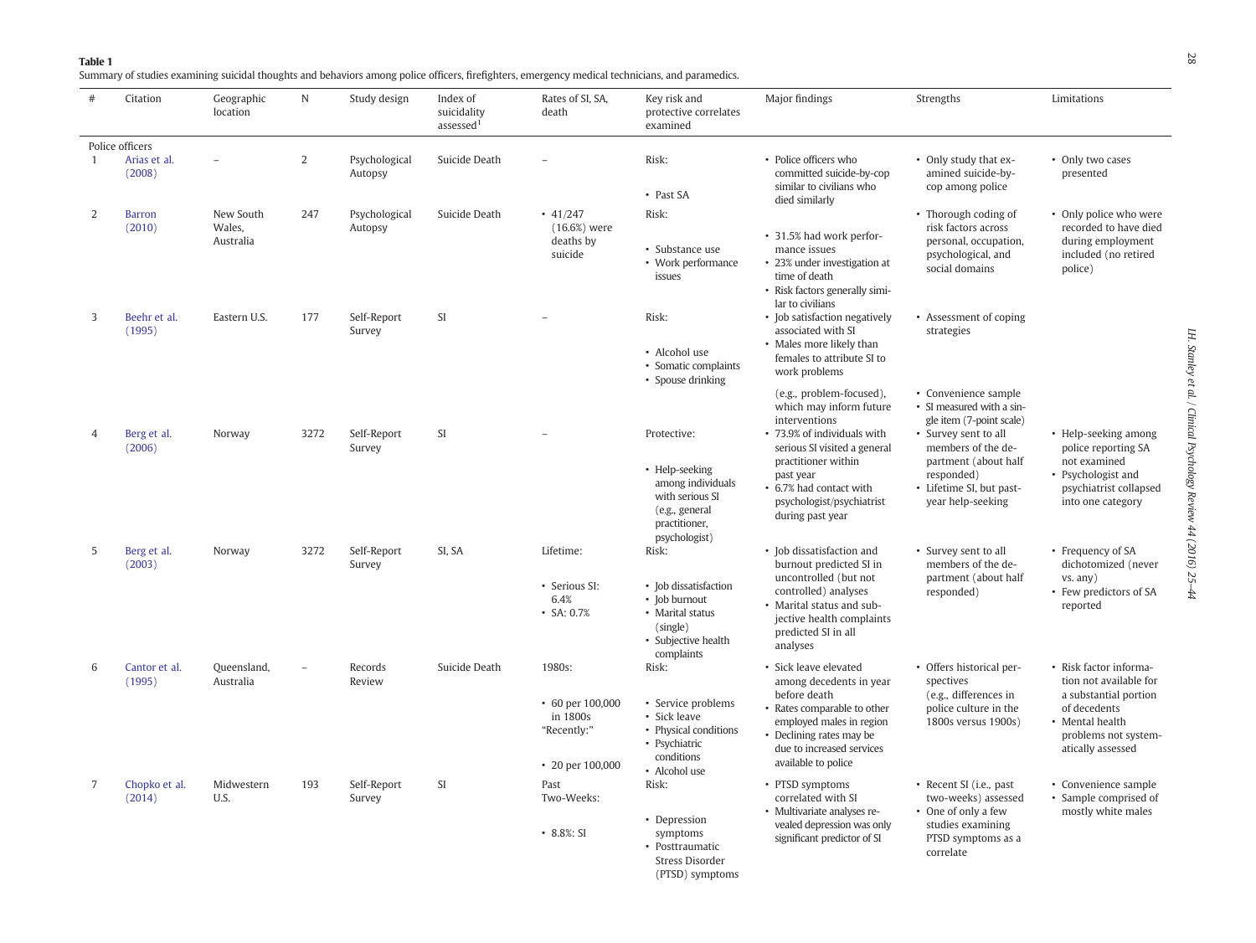#### <span id="page-3-0"></span>Table 1

Summary of studies examining suicidal thoughts and behaviors among police officers, firefighters, emergency medical technicians, and paramedics.

| #              | Citation                | Geographic<br>location           | $\mathbf N$ | Study design             | Index of<br>suicidality<br>assessed $1$ | Rates of SI, SA,<br>death                                                 | Key risk and<br>protective correlates<br>examined                                                                         | Major findings                                                                                                                                                                                              | Strengths                                                                                                                         | Limitations                                                                                                                                               |
|----------------|-------------------------|----------------------------------|-------------|--------------------------|-----------------------------------------|---------------------------------------------------------------------------|---------------------------------------------------------------------------------------------------------------------------|-------------------------------------------------------------------------------------------------------------------------------------------------------------------------------------------------------------|-----------------------------------------------------------------------------------------------------------------------------------|-----------------------------------------------------------------------------------------------------------------------------------------------------------|
|                | Police officers         |                                  |             |                          |                                         |                                                                           |                                                                                                                           |                                                                                                                                                                                                             |                                                                                                                                   |                                                                                                                                                           |
| 1              | Arias et al.<br>(2008)  |                                  | 2           | Psychological<br>Autopsy | Suicide Death                           |                                                                           | Risk:<br>• Past SA                                                                                                        | • Police officers who<br>committed suicide-by-cop<br>similar to civilians who<br>died similarly                                                                                                             | • Only study that ex-<br>amined suicide-by-<br>cop among police                                                                   | • Only two cases<br>presented                                                                                                                             |
| $\overline{2}$ | <b>Barron</b><br>(2010) | New South<br>Wales,<br>Australia | 247         | Psychological<br>Autopsy | Suicide Death                           | $\cdot$ 41/247<br>$(16.6%)$ were<br>deaths by<br>suicide                  | Risk:<br>• Substance use<br>• Work performance<br>issues                                                                  | • 31.5% had work perfor-<br>mance issues<br>• 23% under investigation at<br>time of death<br>• Risk factors generally simi-<br>lar to civilians                                                             | • Thorough coding of<br>risk factors across<br>personal, occupation,<br>psychological, and<br>social domains                      | • Only police who were<br>recorded to have died<br>during employment<br>included (no retired<br>police)                                                   |
| 3              | Beehr et al.<br>(1995)  | Eastern U.S.                     | 177         | Self-Report<br>Survey    | <sub>SI</sub>                           |                                                                           | Risk:<br>• Alcohol use<br>• Somatic complaints<br>• Spouse drinking                                                       | • Job satisfaction negatively<br>associated with SI<br>• Males more likely than<br>females to attribute SI to<br>work problems                                                                              | • Assessment of coping<br>strategies                                                                                              |                                                                                                                                                           |
|                |                         |                                  |             |                          |                                         |                                                                           |                                                                                                                           | (e.g., problem-focused),<br>which may inform future<br>interventions                                                                                                                                        | • Convenience sample<br>• SI measured with a sin-<br>gle item (7-point scale)                                                     |                                                                                                                                                           |
| $\overline{4}$ | Berg et al.<br>(2006)   | Norway                           | 3272        | Self-Report<br>Survey    | SI                                      |                                                                           | Protective:<br>• Help-seeking<br>among individuals<br>with serious SI<br>(e.g., general<br>practitioner,<br>psychologist) | • 73.9% of individuals with<br>serious SI visited a general<br>practitioner within<br>past year<br>• 6.7% had contact with<br>psychologist/psychiatrist<br>during past year                                 | • Survey sent to all<br>members of the de-<br>partment (about half<br>responded)<br>• Lifetime SI, but past-<br>year help-seeking | • Help-seeking among<br>police reporting SA<br>not examined<br>• Psychologist and<br>psychiatrist collapsed<br>into one category                          |
| 5              | Berg et al.<br>(2003)   | Norway                           | 3272        | Self-Report<br>Survey    | SI, SA                                  | Lifetime:<br>• Serious SI:<br>6.4%<br>$-SA: 0.7%$                         | Risk:<br>• Job dissatisfaction<br>• Job burnout<br>• Marital status<br>(single)<br>· Subjective health<br>complaints      | • Job dissatisfaction and<br>burnout predicted SI in<br>uncontrolled (but not<br>controlled) analyses<br>• Marital status and sub-<br>jective health complaints<br>predicted SI in all<br>analyses          | • Survey sent to all<br>members of the de-<br>partment (about half<br>responded)                                                  | • Frequency of SA<br>dichotomized (never<br>vs. any)<br>• Few predictors of SA<br>reported                                                                |
| 6              | Cantor et al.<br>(1995) | Queensland,<br>Australia         |             | Records<br>Review        | Suicide Death                           | 1980s:<br>• 60 per 100,000<br>in 1800s<br>"Recently:"<br>• 20 per 100,000 | Risk:<br>• Service problems<br>• Sick leave<br>• Physical conditions<br>• Psychiatric<br>conditions<br>• Alcohol use      | · Sick leave elevated<br>among decedents in year<br>before death<br>• Rates comparable to other<br>employed males in region<br>• Declining rates may be<br>due to increased services<br>available to police | • Offers historical per-<br>spectives<br>(e.g., differences in<br>police culture in the<br>1800s versus 1900s)                    | • Risk factor informa-<br>tion not available for<br>a substantial portion<br>of decedents<br>• Mental health<br>problems not system-<br>atically assessed |
| 7              | Chopko et al.<br>(2014) | Midwestern<br>U.S.               | 193         | Self-Report<br>Survey    | SI                                      | Past<br>Two-Weeks:<br>$8.8\%$ : SI                                        | Risk:<br>• Depression<br>symptoms<br>• Posttraumatic<br>Stress Disorder<br>(PTSD) symptoms                                | • PTSD symptoms<br>correlated with SI<br>• Multivariate analyses re-<br>vealed depression was only<br>significant predictor of SI                                                                           | • Recent SI (i.e., past<br>two-weeks) assessed<br>• One of only a few<br>studies examining<br>PTSD symptoms as a<br>correlate     | • Convenience sample<br>• Sample comprised of<br>mostly white males                                                                                       |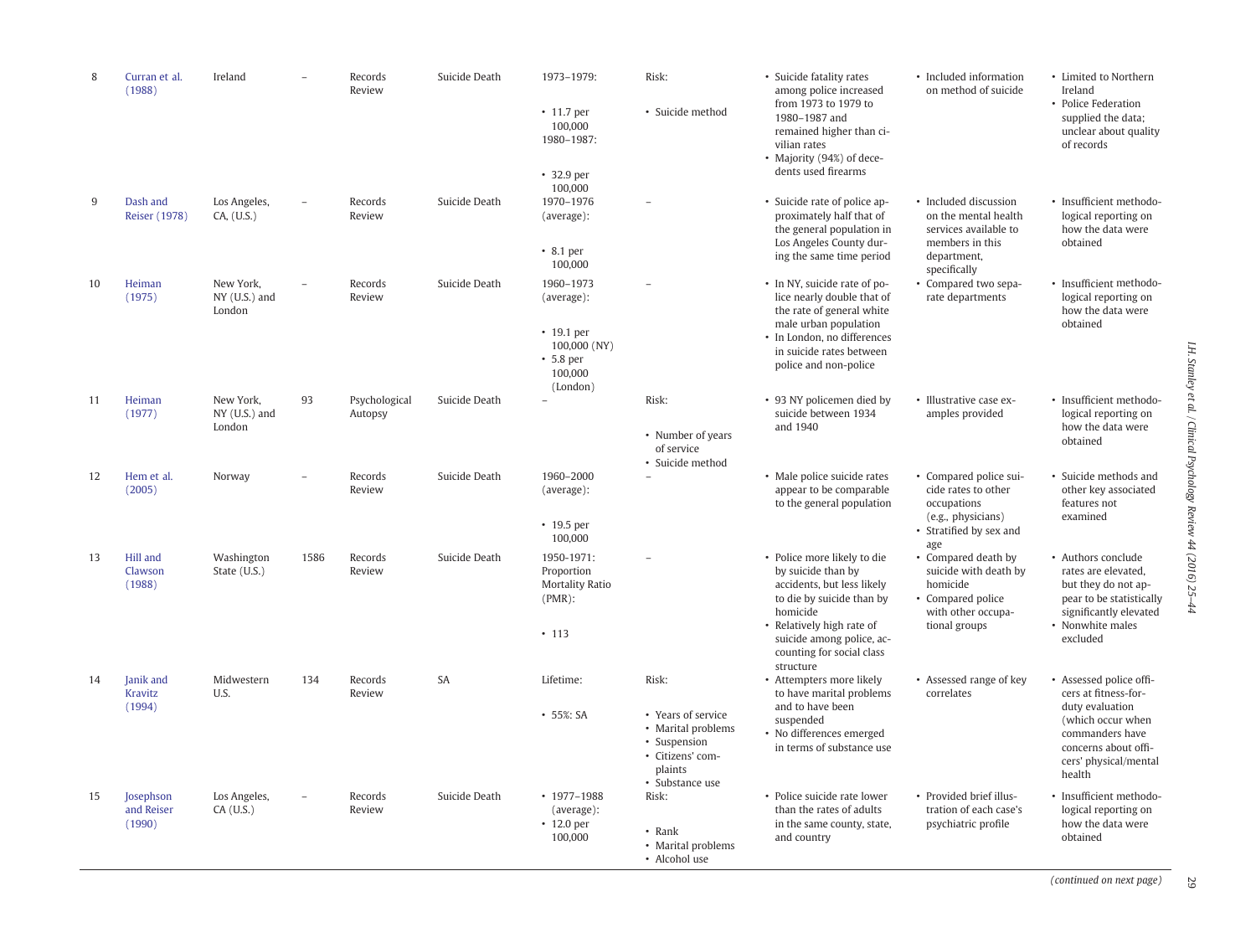| 8  | Curran et al.<br>(1988)           | Ireland                              |      | Records<br>Review        | Suicide Death | 1973-1979:<br>$\cdot$ 11.7 per<br>100,000<br>1980-1987:<br>• 32.9 per                                 | Risk:<br>· Suicide method                                                                                           | · Suicide fatality rates<br>among police increased<br>from 1973 to 1979 to<br>1980-1987 and<br>remained higher than ci-<br>vilian rates<br>• Majority (94%) of dece-<br>dents used firearms                                | • Included information<br>on method of suicide                                                                           | • Limited to Northern<br>Ireland<br>• Police Federation<br>supplied the data;<br>unclear about quality<br>of records                                                  |
|----|-----------------------------------|--------------------------------------|------|--------------------------|---------------|-------------------------------------------------------------------------------------------------------|---------------------------------------------------------------------------------------------------------------------|----------------------------------------------------------------------------------------------------------------------------------------------------------------------------------------------------------------------------|--------------------------------------------------------------------------------------------------------------------------|-----------------------------------------------------------------------------------------------------------------------------------------------------------------------|
| 9  | Dash and<br>Reiser (1978)         | Los Angeles,<br>CA, (U.S.)           |      | Records<br>Review        | Suicide Death | 100,000<br>1970-1976<br>(average):<br>$\cdot$ 8.1 per<br>100,000                                      |                                                                                                                     | · Suicide rate of police ap-<br>proximately half that of<br>the general population in<br>Los Angeles County dur-<br>ing the same time period                                                                               | • Included discussion<br>on the mental health<br>services available to<br>members in this<br>department,<br>specifically | • Insufficient methodo-<br>logical reporting on<br>how the data were<br>obtained                                                                                      |
| 10 | Heiman<br>(1975)                  | New York,<br>NY (U.S.) and<br>London |      | Records<br>Review        | Suicide Death | 1960-1973<br>(average):<br>$\cdot$ 19.1 per<br>100,000 (NY)<br>$\cdot$ 5.8 per<br>100,000<br>(London) |                                                                                                                     | • In NY, suicide rate of po-<br>lice nearly double that of<br>the rate of general white<br>male urban population<br>· In London, no differences<br>in suicide rates between<br>police and non-police                       | · Compared two sepa-<br>rate departments                                                                                 | • Insufficient methodo-<br>logical reporting on<br>how the data were<br>obtained                                                                                      |
| 11 | Heiman<br>(1977)                  | New York.<br>NY (U.S.) and<br>London | 93   | Psychological<br>Autopsy | Suicide Death |                                                                                                       | Risk:<br>• Number of years<br>of service<br>· Suicide method                                                        | • 93 NY policemen died by<br>suicide between 1934<br>and 1940                                                                                                                                                              | • Illustrative case ex-<br>amples provided                                                                               | · Insufficient methodo-<br>logical reporting on<br>how the data were<br>obtained                                                                                      |
| 12 | Hem et al.<br>(2005)              | Norway                               |      | Records<br>Review        | Suicide Death | 1960-2000<br>(average):<br>• 19.5 per<br>100,000                                                      |                                                                                                                     | • Male police suicide rates<br>appear to be comparable<br>to the general population                                                                                                                                        | • Compared police sui-<br>cide rates to other<br>occupations<br>(e.g., physicians)<br>• Stratified by sex and<br>age     | • Suicide methods and<br>other key associated<br>features not<br>examined                                                                                             |
| 13 | Hill and<br>Clawson<br>(1988)     | Washington<br>State (U.S.)           | 1586 | Records<br>Review        | Suicide Death | 1950-1971:<br>Proportion<br><b>Mortality Ratio</b><br>$(PMR)$ :<br>• 113                              |                                                                                                                     | • Police more likely to die<br>by suicide than by<br>accidents, but less likely<br>to die by suicide than by<br>homicide<br>Relatively high rate of<br>suicide among police, ac-<br>counting for social class<br>structure | • Compared death by<br>suicide with death by<br>homicide<br>• Compared police<br>with other occupa-<br>tional groups     | • Authors conclude<br>rates are elevated,<br>but they do not ap-<br>pear to be statistically<br>significantly elevated<br>• Nonwhite males<br>excluded                |
| 14 | Janik and<br>Kravitz<br>(1994)    | Midwestern<br>U.S.                   | 134  | Records<br>Review        | <b>SA</b>     | Lifetime:<br>•55%:SA                                                                                  | Risk:<br>• Years of service<br>• Marital problems<br>• Suspension<br>· Citizens' com-<br>plaints<br>• Substance use | • Attempters more likely<br>to have marital problems<br>and to have been<br>suspended<br>• No differences emerged<br>in terms of substance use                                                                             | • Assessed range of key<br>correlates                                                                                    | • Assessed police offi-<br>cers at fitness-for-<br>duty evaluation<br>(which occur when<br>commanders have<br>concerns about offi-<br>cers' physical/mental<br>health |
| 15 | Josephson<br>and Reiser<br>(1990) | Los Angeles,<br>$CA$ (U.S.)          |      | Records<br>Review        | Suicide Death | $\cdot$ 1977-1988<br>(average):<br>• 12.0 per<br>100,000                                              | Risk:<br>• Rank<br>• Marital problems<br>• Alcohol use                                                              | • Police suicide rate lower<br>than the rates of adults<br>in the same county, state,<br>and country                                                                                                                       | • Provided brief illus-<br>tration of each case's<br>psychiatric profile                                                 | · Insufficient methodo-<br>logical reporting on<br>how the data were<br>obtained                                                                                      |

(continued on next page)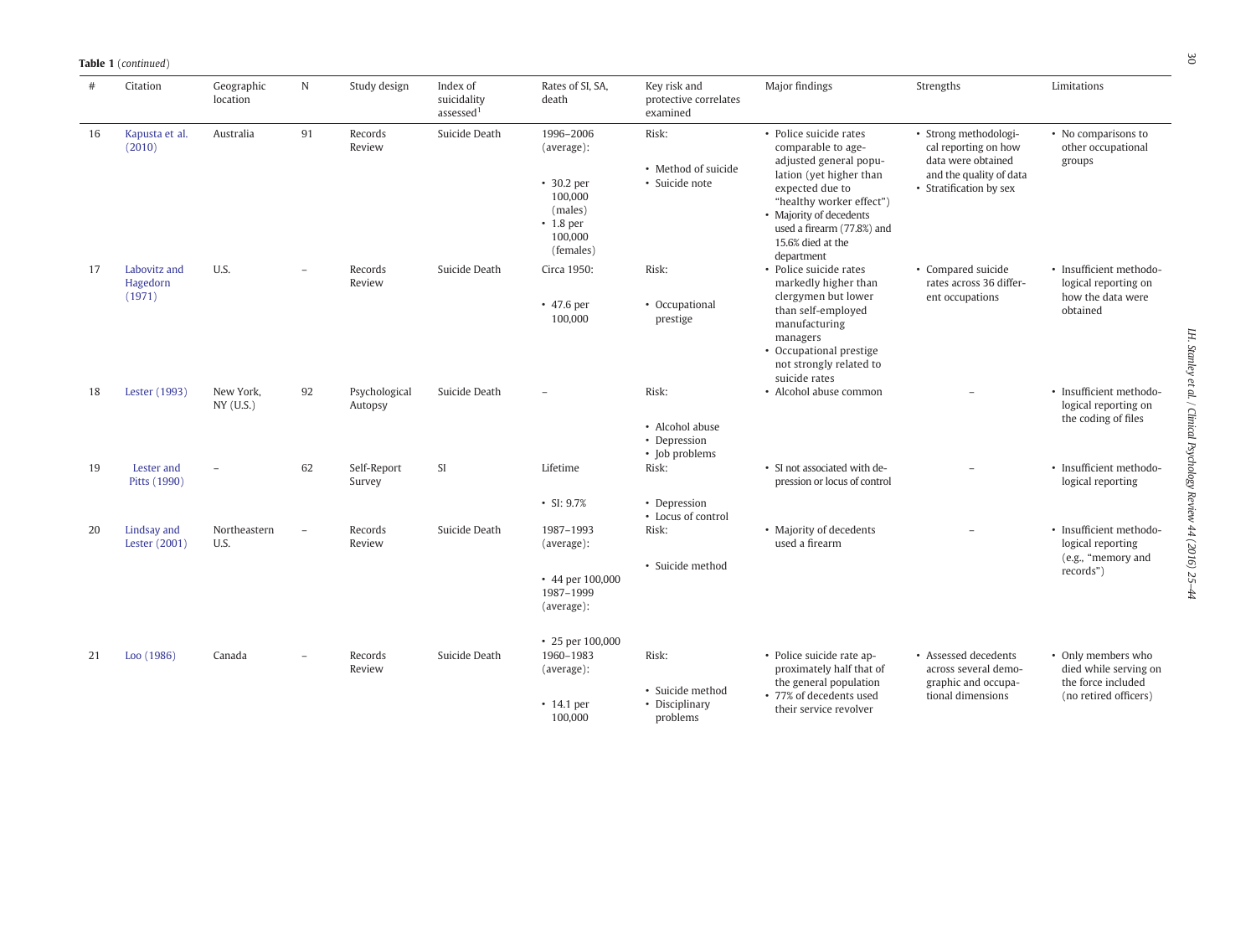| #  | Citation                           | Geographic<br>location   | $\mathbf N$    | Study design             | Index of<br>suicidality<br>assessed <sup>1</sup> | Rates of SI, SA,<br>death                                                                                    | Key risk and<br>protective correlates<br>examined          | <b>Major findings</b>                                                                                                                                                                                                                        | Strengths                                                                                                                 | Limitations                                                                                |
|----|------------------------------------|--------------------------|----------------|--------------------------|--------------------------------------------------|--------------------------------------------------------------------------------------------------------------|------------------------------------------------------------|----------------------------------------------------------------------------------------------------------------------------------------------------------------------------------------------------------------------------------------------|---------------------------------------------------------------------------------------------------------------------------|--------------------------------------------------------------------------------------------|
| 16 | Kapusta et al.<br>(2010)           | Australia                | 91             | Records<br>Review        | Suicide Death                                    | 1996-2006<br>(average):<br>$\cdot$ 30.2 per<br>100,000<br>(males)<br>$\cdot$ 1.8 per<br>100,000<br>(females) | Risk:<br>• Method of suicide<br>· Suicide note             | • Police suicide rates<br>comparable to age-<br>adjusted general popu-<br>lation (yet higher than<br>expected due to<br>"healthy worker effect")<br>• Majority of decedents<br>used a firearm (77.8%) and<br>15.6% died at the<br>department | • Strong methodologi-<br>cal reporting on how<br>data were obtained<br>and the quality of data<br>• Stratification by sex | • No comparisons to<br>other occupational<br>groups                                        |
| 17 | Labovitz and<br>Hagedorn<br>(1971) | U.S.                     |                | Records<br>Review        | Suicide Death                                    | Circa 1950:<br>$\cdot$ 47.6 per<br>100,000                                                                   | Risk:<br>• Occupational<br>prestige                        | • Police suicide rates<br>markedly higher than<br>clergymen but lower<br>than self-employed<br>manufacturing<br>managers<br>• Occupational prestige<br>not strongly related to<br>suicide rates                                              | • Compared suicide<br>rates across 36 differ-<br>ent occupations                                                          | • Insufficient methodo-<br>logical reporting on<br>how the data were<br>obtained           |
| 18 | Lester (1993)                      | New York,<br>$NY$ (U.S.) | 92             | Psychological<br>Autopsy | Suicide Death                                    |                                                                                                              | Risk:<br>• Alcohol abuse<br>• Depression<br>• Job problems | • Alcohol abuse common                                                                                                                                                                                                                       |                                                                                                                           | • Insufficient methodo-<br>logical reporting on<br>the coding of files                     |
| 19 | Lester and<br>Pitts (1990)         | $\overline{\phantom{a}}$ | 62             | Self-Report<br>Survey    | SI                                               | Lifetime<br>$\cdot$ SI: 9.7%                                                                                 | Risk:<br>• Depression                                      | • SI not associated with de-<br>pression or locus of control                                                                                                                                                                                 |                                                                                                                           | • Insufficient methodo-<br>logical reporting                                               |
| 20 | Lindsay and<br>Lester (2001)       | Northeastern<br>U.S.     | $\overline{a}$ | Records<br>Review        | Suicide Death                                    | 1987-1993<br>(average):<br>• 44 per 100,000<br>1987-1999<br>(average):                                       | • Locus of control<br>Risk:<br>· Suicide method            | • Majority of decedents<br>used a firearm                                                                                                                                                                                                    |                                                                                                                           | • Insufficient methodo-<br>logical reporting<br>(e.g., "memory and<br>records")            |
| 21 | Loo (1986)                         | Canada                   |                | Records<br>Review        | Suicide Death                                    | • 25 per 100,000<br>1960-1983<br>(average):<br>$\cdot$ 14.1 per<br>100,000                                   | Risk:<br>• Suicide method<br>• Disciplinary<br>problems    | • Police suicide rate ap-<br>proximately half that of<br>the general population<br>• 77% of decedents used<br>their service revolver                                                                                                         | • Assessed decedents<br>across several demo-<br>graphic and occupa-<br>tional dimensions                                  | • Only members who<br>died while serving on<br>the force included<br>(no retired officers) |

**Table 1** (continued)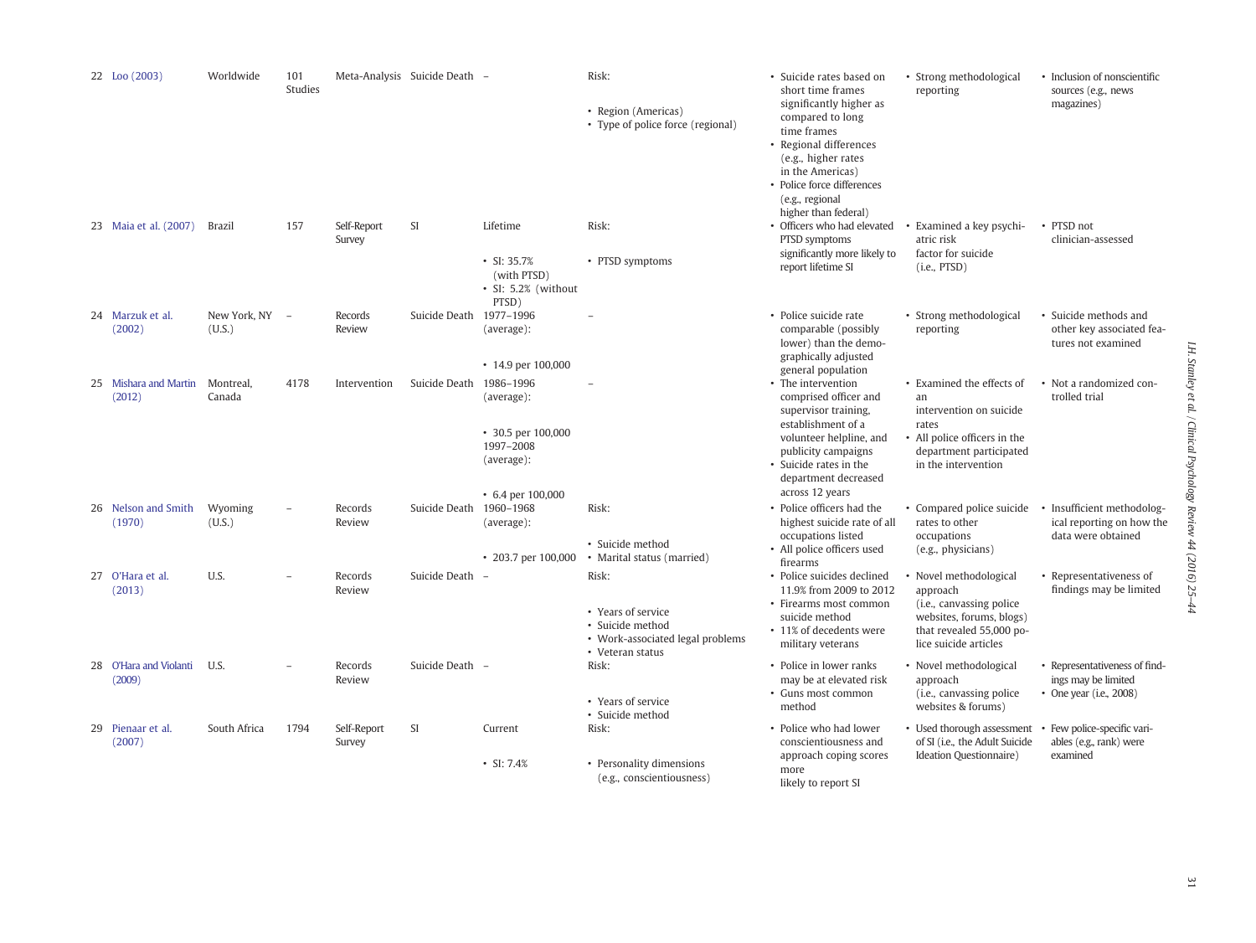| 22 Loo (2003)                    | Worldwide                | 101<br>Studies |                       | Meta-Analysis Suicide Death - |                                                                                  | Risk:<br>• Region (Americas)<br>• Type of police force (regional)                                       | • Suicide rates based on<br>short time frames<br>significantly higher as<br>compared to long<br>time frames<br>• Regional differences<br>(e.g., higher rates<br>in the Americas)<br>• Police force differences<br>(e.g., regional<br>higher than federal) | • Strong methodological<br>reporting                                                                                                                      | • Inclusion of nonscientific<br>sources (e.g., news<br>magazines)               |
|----------------------------------|--------------------------|----------------|-----------------------|-------------------------------|----------------------------------------------------------------------------------|---------------------------------------------------------------------------------------------------------|-----------------------------------------------------------------------------------------------------------------------------------------------------------------------------------------------------------------------------------------------------------|-----------------------------------------------------------------------------------------------------------------------------------------------------------|---------------------------------------------------------------------------------|
| 23 Maia et al. (2007)            | Brazil                   | 157            | Self-Report<br>Survey | SI                            | Lifetime<br>$\cdot$ SI: 35.7%<br>(with PTSD)<br>• SI: 5.2% (without<br>PTSD)     | Risk:<br>• PTSD symptoms                                                                                | • Officers who had elevated<br>PTSD symptoms<br>significantly more likely to<br>report lifetime SI                                                                                                                                                        | • Examined a key psychi-<br>atric risk<br>factor for suicide<br>$(i.e., PTSD)$                                                                            | • PTSD not<br>clinician-assessed                                                |
| 24 Marzuk et al.<br>(2002)       | New York. NY -<br>(U.S.) |                | Records<br>Review     | Suicide Death 1977-1996       | (average):<br>• 14.9 per 100,000                                                 |                                                                                                         | • Police suicide rate<br>comparable (possibly<br>lower) than the demo-<br>graphically adjusted<br>general population                                                                                                                                      | • Strong methodological<br>reporting                                                                                                                      | • Suicide methods and<br>other key associated fea-<br>tures not examined        |
| 25 Mishara and Martin<br>(2012)  | Montreal,<br>Canada      | 4178           | Intervention          | Suicide Death 1986-1996       | (average):<br>• 30.5 per 100,000<br>1997-2008<br>(average):<br>• 6.4 per 100,000 |                                                                                                         | • The intervention<br>comprised officer and<br>supervisor training,<br>establishment of a<br>volunteer helpline, and<br>publicity campaigns<br>• Suicide rates in the<br>department decreased<br>across 12 years                                          | • Examined the effects of<br>an<br>intervention on suicide<br>rates<br>• All police officers in the<br>department participated<br>in the intervention     | • Not a randomized con-<br>trolled trial                                        |
| 26 Nelson and Smith<br>(1970)    | Wyoming<br>(U.S.)        |                | Records<br>Review     | Suicide Death                 | 1960-1968<br>(average):<br>$\cdot$ 203.7 per 100,000                             | Risk:<br>• Suicide method<br>• Marital status (married)                                                 | • Police officers had the<br>highest suicide rate of all<br>occupations listed<br>• All police officers used<br>firearms                                                                                                                                  | • Compared police suicide<br>rates to other<br>occupations<br>(e.g., physicians)                                                                          | · Insufficient methodolog-<br>ical reporting on how the<br>data were obtained   |
| 27 O'Hara et al.<br>(2013)       | U.S.                     |                | Records<br>Review     | Suicide Death -               |                                                                                  | Risk:<br>• Years of service<br>· Suicide method<br>• Work-associated legal problems<br>• Veteran status | • Police suicides declined<br>11.9% from 2009 to 2012<br>• Firearms most common<br>suicide method<br>• 11% of decedents were<br>military veterans                                                                                                         | • Novel methodological<br>approach<br>( <i>i.e., canvassing police</i> )<br>websites, forums, blogs)<br>that revealed 55,000 po-<br>lice suicide articles | • Representativeness of<br>findings may be limited                              |
| 28 O'Hara and Violanti<br>(2009) | U.S.                     |                | Records<br>Review     | Suicide Death -               |                                                                                  | Risk:<br>• Years of service<br>• Suicide method                                                         | • Police in lower ranks<br>may be at elevated risk<br>• Guns most common<br>method                                                                                                                                                                        | • Novel methodological<br>approach<br>(i.e., canvassing police)<br>websites & forums)                                                                     | • Representativeness of find-<br>ings may be limited<br>• One year (i.e., 2008) |
| 29 Pienaar et al.<br>(2007)      | South Africa             | 1794           | Self-Report<br>Survey | SI                            | Current<br>$\cdot$ SI: 7.4%                                                      | Risk:<br>• Personality dimensions<br>(e.g., conscientiousness)                                          | • Police who had lower<br>conscientiousness and<br>approach coping scores<br>more<br>likely to report SI                                                                                                                                                  | • Used thorough assessment<br>of SI (i.e., the Adult Suicide<br>Ideation Questionnaire)                                                                   | • Few police-specific vari-<br>ables (e.g., rank) were<br>examined              |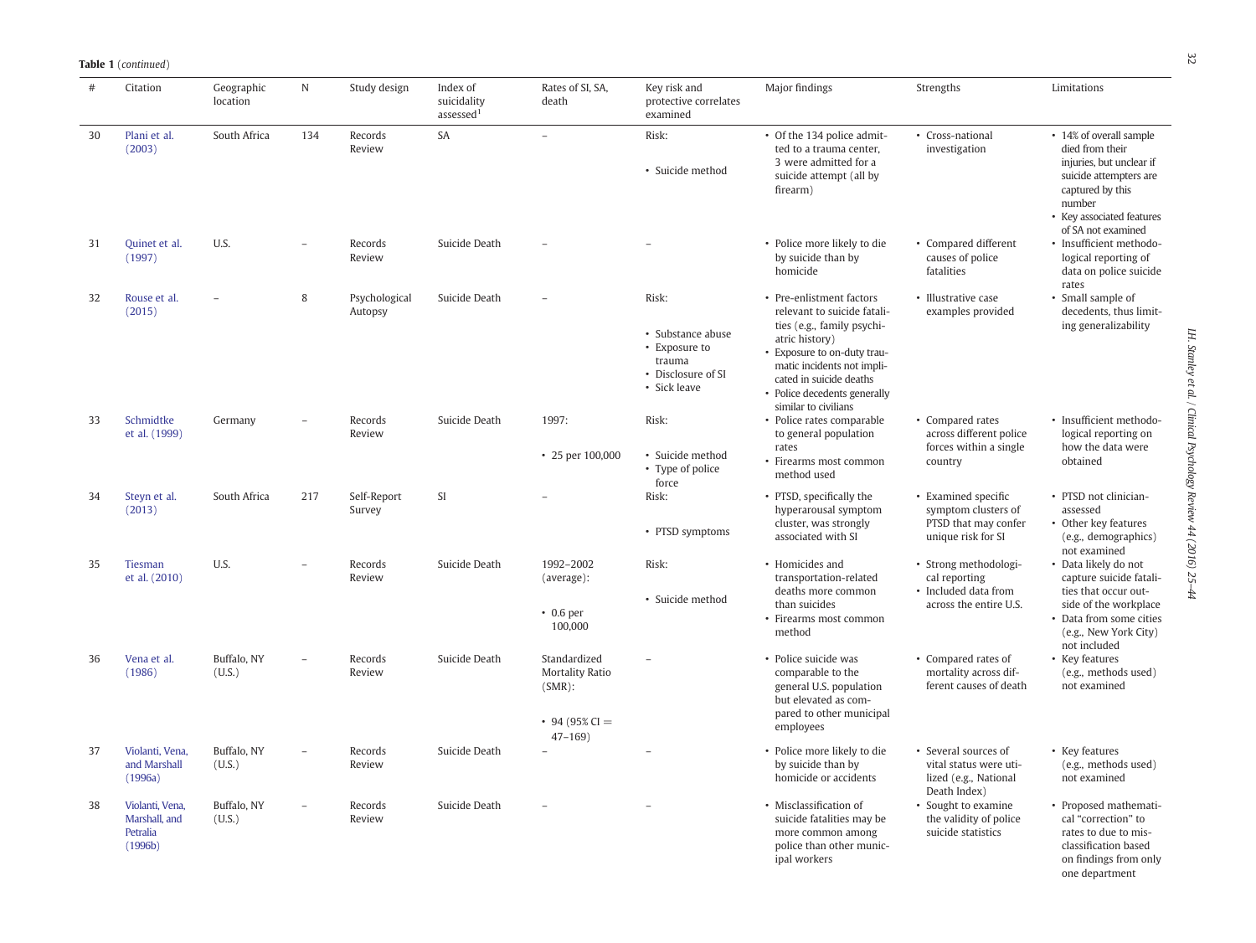|    | Citation                                                | Geographic<br>location | $\mathbf N$ | Study design             | Index of<br>suicidality<br>assessed <sup>1</sup> | Rates of SI, SA,<br>death                                                             | Key risk and<br>protective correlates<br>examined                                           | Major findings                                                                                                                                                                                                                                          | Strengths                                                                                | Limitations                                                                                                                                                                       |
|----|---------------------------------------------------------|------------------------|-------------|--------------------------|--------------------------------------------------|---------------------------------------------------------------------------------------|---------------------------------------------------------------------------------------------|---------------------------------------------------------------------------------------------------------------------------------------------------------------------------------------------------------------------------------------------------------|------------------------------------------------------------------------------------------|-----------------------------------------------------------------------------------------------------------------------------------------------------------------------------------|
| 30 | Plani et al.<br>(2003)                                  | South Africa           | 134         | Records<br>Review        | <b>SA</b>                                        | $\overline{a}$                                                                        | Risk:<br>• Suicide method                                                                   | • Of the 134 police admit-<br>ted to a trauma center,<br>3 were admitted for a<br>suicide attempt (all by<br>firearm)                                                                                                                                   | • Cross-national<br>investigation                                                        | • 14% of overall sample<br>died from their<br>injuries, but unclear if<br>suicide attempters are<br>captured by this<br>number<br>• Key associated features<br>of SA not examined |
| 31 | Quinet et al.<br>(1997)                                 | U.S.                   |             | Records<br>Review        | Suicide Death                                    |                                                                                       |                                                                                             | • Police more likely to die<br>by suicide than by<br>homicide                                                                                                                                                                                           | • Compared different<br>causes of police<br>fatalities                                   | · Insufficient methodo-<br>logical reporting of<br>data on police suicide<br>rates                                                                                                |
| 32 | Rouse et al.<br>(2015)                                  |                        | 8           | Psychological<br>Autopsy | Suicide Death                                    |                                                                                       | Risk:<br>• Substance abuse<br>• Exposure to<br>trauma<br>• Disclosure of SI<br>• Sick leave | • Pre-enlistment factors<br>relevant to suicide fatali-<br>ties (e.g., family psychi-<br>atric history)<br>• Exposure to on-duty trau-<br>matic incidents not impli-<br>cated in suicide deaths<br>• Police decedents generally<br>similar to civilians | • Illustrative case<br>examples provided                                                 | • Small sample of<br>decedents, thus limit-<br>ing generalizability                                                                                                               |
| 33 | Schmidtke<br>et al. (1999)                              | Germany                |             | Records<br>Review        | Suicide Death                                    | 1997:<br>• 25 per 100,000                                                             | Risk:<br>· Suicide method<br>• Type of police<br>force                                      | • Police rates comparable<br>to general population<br>rates<br>• Firearms most common<br>method used                                                                                                                                                    | • Compared rates<br>across different police<br>forces within a single<br>country         | • Insufficient methodo-<br>logical reporting on<br>how the data were<br>obtained                                                                                                  |
| 34 | Steyn et al.<br>(2013)                                  | South Africa           | 217         | Self-Report<br>Survey    | SI                                               |                                                                                       | Risk:<br>• PTSD symptoms                                                                    | • PTSD, specifically the<br>hyperarousal symptom<br>cluster, was strongly<br>associated with SI                                                                                                                                                         | • Examined specific<br>symptom clusters of<br>PTSD that may confer<br>unique risk for SI | • PTSD not clinician-<br>assessed<br>• Other key features<br>(e.g., demographics)<br>not examined                                                                                 |
| 35 | Tiesman<br>et al. (2010)                                | U.S.                   |             | Records<br>Review        | Suicide Death                                    | 1992-2002<br>(average):<br>$\cdot$ 0.6 per<br>100,000                                 | Risk:<br>• Suicide method                                                                   | • Homicides and<br>transportation-related<br>deaths more common<br>than suicides<br>• Firearms most common<br>method                                                                                                                                    | · Strong methodologi-<br>cal reporting<br>• Included data from<br>across the entire U.S. | · Data likely do not<br>capture suicide fatali-<br>ties that occur out-<br>side of the workplace<br>• Data from some cities<br>(e.g., New York City)<br>not included              |
| 36 | Vena et al.<br>(1986)                                   | Buffalo, NY<br>(U.S.)  |             | Records<br>Review        | Suicide Death                                    | Standardized<br><b>Mortality Ratio</b><br>$(SMR)$ :<br>• 94 (95% CI $=$<br>$47 - 169$ |                                                                                             | • Police suicide was<br>comparable to the<br>general U.S. population<br>but elevated as com-<br>pared to other municipal<br>employees                                                                                                                   | • Compared rates of<br>mortality across dif-<br>ferent causes of death                   | • Key features<br>(e.g., methods used)<br>not examined                                                                                                                            |
| 37 | Violanti, Vena,<br>and Marshall<br>(1996a)              | Buffalo, NY<br>(U.S.)  |             | Records<br>Review        | Suicide Death                                    |                                                                                       |                                                                                             | • Police more likely to die<br>by suicide than by<br>homicide or accidents                                                                                                                                                                              | • Several sources of<br>vital status were uti-<br>lized (e.g., National<br>Death Index)  | • Key features<br>(e.g., methods used)<br>not examined                                                                                                                            |
| 38 | Violanti, Vena,<br>Marshall, and<br>Petralia<br>(1996b) | Buffalo, NY<br>(U.S.)  |             | Records<br>Review        | Suicide Death                                    |                                                                                       |                                                                                             | • Misclassification of<br>suicide fatalities may be<br>more common among<br>police than other munic-<br>ipal workers                                                                                                                                    | • Sought to examine<br>the validity of police<br>suicide statistics                      | • Proposed mathemati-<br>cal "correction" to<br>rates to due to mis-<br>classification based<br>on findings from only                                                             |

**Table 1** (continued)

one department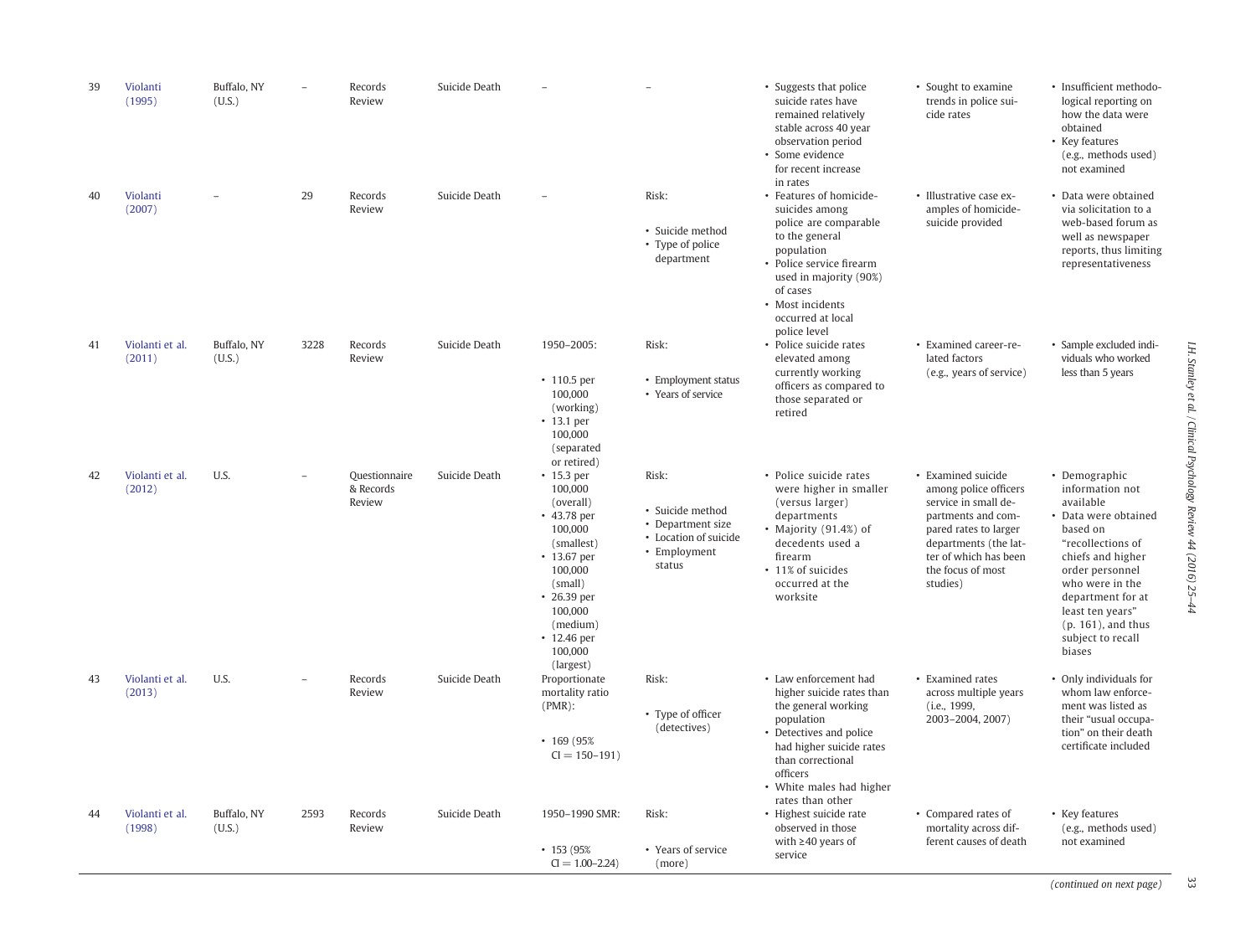| 39 | Violanti<br>(1995)        | Buffalo, NY<br>(U.S.) |      | Records<br>Review                    | Suicide Death |                                                                                                                                                                                                    |                                                                                                   | • Suggests that police<br>suicide rates have<br>remained relatively<br>stable across 40 year<br>observation period<br>• Some evidence<br>for recent increase<br>in rates                                                        | • Sought to examine<br>trends in police sui-<br>cide rates                                                                                                                                            | • Insufficient methodo-<br>logical reporting on<br>how the data were<br>obtained<br>• Key features<br>(e.g., methods used)<br>not examined                                                                                                                         |
|----|---------------------------|-----------------------|------|--------------------------------------|---------------|----------------------------------------------------------------------------------------------------------------------------------------------------------------------------------------------------|---------------------------------------------------------------------------------------------------|---------------------------------------------------------------------------------------------------------------------------------------------------------------------------------------------------------------------------------|-------------------------------------------------------------------------------------------------------------------------------------------------------------------------------------------------------|--------------------------------------------------------------------------------------------------------------------------------------------------------------------------------------------------------------------------------------------------------------------|
| 40 | Violanti<br>(2007)        |                       | 29   | Records<br>Review                    | Suicide Death |                                                                                                                                                                                                    | Risk:<br>• Suicide method<br>• Type of police<br>department                                       | • Features of homicide-<br>suicides among<br>police are comparable<br>to the general<br>population<br>• Police service firearm<br>used in majority (90%)<br>of cases<br>• Most incidents<br>occurred at local<br>police level   | • Illustrative case ex-<br>amples of homicide-<br>suicide provided                                                                                                                                    | • Data were obtained<br>via solicitation to a<br>web-based forum as<br>well as newspaper<br>reports, thus limiting<br>representativeness                                                                                                                           |
| 41 | Violanti et al.<br>(2011) | Buffalo. NY<br>(U.S.) | 3228 | Records<br>Review                    | Suicide Death | 1950-2005:<br>• 110.5 per<br>100,000<br>(working)<br>• 13.1 per<br>100,000<br>(separated<br>or retired)                                                                                            | Risk:<br>• Employment status<br>• Years of service                                                | • Police suicide rates<br>elevated among<br>currently working<br>officers as compared to<br>those separated or<br>retired                                                                                                       | • Examined career-re-<br>lated factors<br>(e.g., years of service)                                                                                                                                    | • Sample excluded indi-<br>viduals who worked<br>less than 5 years                                                                                                                                                                                                 |
| 42 | Violanti et al.<br>(2012) | U.S.                  |      | Ouestionnaire<br>& Records<br>Review | Suicide Death | $\cdot$ 15.3 per<br>100,000<br>(overall)<br>• 43.78 per<br>100,000<br>(smallest)<br>• 13.67 per<br>100,000<br>(small)<br>• 26.39 per<br>100,000<br>(medium)<br>• 12.46 per<br>100,000<br>(largest) | Risk:<br>• Suicide method<br>• Department size<br>• Location of suicide<br>• Employment<br>status | • Police suicide rates<br>were higher in smaller<br>(versus larger)<br>departments<br>• Majority $(91.4%)$ of<br>decedents used a<br>firearm<br>• 11% of suicides<br>occurred at the<br>worksite                                | • Examined suicide<br>among police officers<br>service in small de-<br>partments and com-<br>pared rates to larger<br>departments (the lat-<br>ter of which has been<br>the focus of most<br>studies) | • Demographic<br>information not<br>available<br>• Data were obtained<br>based on<br>"recollections of<br>chiefs and higher<br>order personnel<br>who were in the<br>department for at<br>least ten years"<br>$(p. 161)$ , and thus<br>subject to recall<br>biases |
| 43 | Violanti et al.<br>(2013) | U.S.                  |      | Records<br>Review                    | Suicide Death | Proportionate<br>mortality ratio<br>$(PMR)$ :<br>• 169 (95%<br>$CI = 150 - 191$                                                                                                                    | Risk:<br>• Type of officer<br>(detectives)                                                        | • Law enforcement had<br>higher suicide rates than<br>the general working<br>population<br>• Detectives and police<br>had higher suicide rates<br>than correctional<br>officers<br>• White males had higher<br>rates than other | • Examined rates<br>across multiple years<br>(i.e., 1999,<br>2003-2004, 2007)                                                                                                                         | • Only individuals for<br>whom law enforce-<br>ment was listed as<br>their "usual occupa-<br>tion" on their death<br>certificate included                                                                                                                          |
| 44 | Violanti et al.<br>(1998) | Buffalo, NY<br>(U.S.) | 2593 | Records<br>Review                    | Suicide Death | 1950-1990 SMR:<br>$\cdot$ 153 (95%)<br>$CI = 1.00 - 2.24$                                                                                                                                          | Risk:<br>• Years of service<br>(more)                                                             | • Highest suicide rate<br>observed in those<br>with $\geq$ 40 years of<br>service                                                                                                                                               | • Compared rates of<br>mortality across dif-<br>ferent causes of death                                                                                                                                | • Key features<br>(e.g., methods used)<br>not examined                                                                                                                                                                                                             |

33 (continued on next page)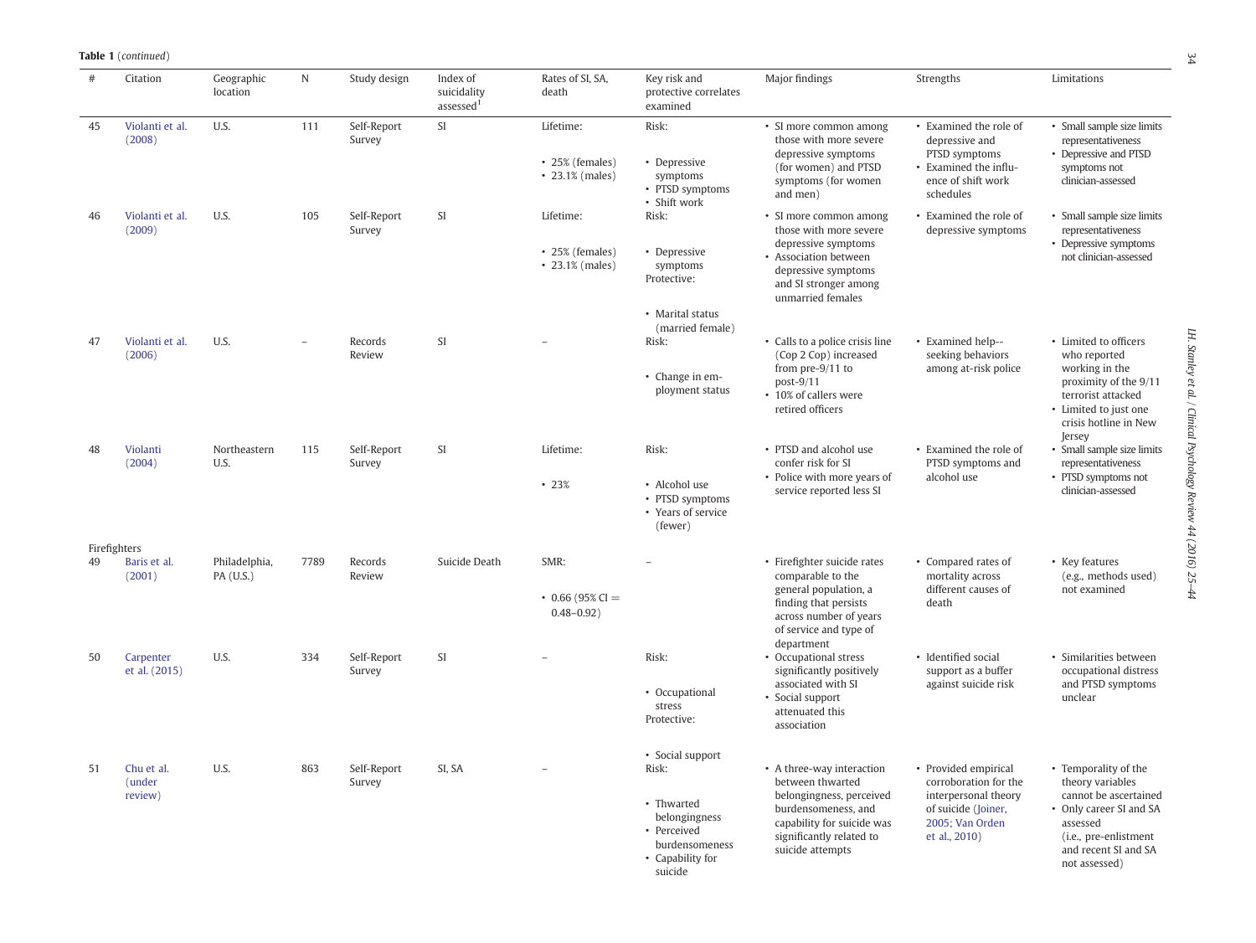**Table 1** (continued)

| #  | Citation                        | Geographic<br>location     | N    | Study design          | Index of<br>suicidality<br>assessed $1$ | Rates of SI, SA,<br>death                       | Key risk and<br>protective correlates<br>examined                                         | Major findings                                                                                                                                                                 | Strengths                                                                                                                        | Limitations                                                                                                                                               |
|----|---------------------------------|----------------------------|------|-----------------------|-----------------------------------------|-------------------------------------------------|-------------------------------------------------------------------------------------------|--------------------------------------------------------------------------------------------------------------------------------------------------------------------------------|----------------------------------------------------------------------------------------------------------------------------------|-----------------------------------------------------------------------------------------------------------------------------------------------------------|
| 45 | Violanti et al.<br>(2008)       | U.S.                       | 111  | Self-Report<br>Survey | SI                                      | Lifetime:<br>• 25% (females)<br>• 23.1% (males) | Risk:<br>• Depressive<br>symptoms<br>• PTSD symptoms                                      | • SI more common among<br>those with more severe<br>depressive symptoms<br>(for women) and PTSD<br>symptoms (for women                                                         | • Examined the role of<br>depressive and<br>PTSD symptoms<br>• Examined the influ-<br>ence of shift work                         | • Small sample size limits<br>representativeness<br>• Depressive and PTSD<br>symptoms not<br>clinician-assessed                                           |
|    |                                 |                            |      |                       |                                         |                                                 | • Shift work                                                                              | and men)                                                                                                                                                                       | schedules                                                                                                                        |                                                                                                                                                           |
| 46 | Violanti et al.<br>(2009)       | U.S.                       | 105  | Self-Report<br>Survey | SI                                      | Lifetime:                                       | Risk:                                                                                     | • SI more common among<br>those with more severe<br>depressive symptoms                                                                                                        | • Examined the role of<br>depressive symptoms                                                                                    | • Small sample size limits<br>representativeness<br>• Depressive symptoms                                                                                 |
|    |                                 |                            |      |                       |                                         | • 25% (females)<br>• 23.1% (males)              | • Depressive<br>symptoms<br>Protective:                                                   | • Association between<br>depressive symptoms<br>and SI stronger among<br>unmarried females                                                                                     |                                                                                                                                  | not clinician-assessed                                                                                                                                    |
|    |                                 |                            |      |                       |                                         |                                                 | • Marital status<br>(married female)                                                      |                                                                                                                                                                                |                                                                                                                                  |                                                                                                                                                           |
| 47 | Violanti et al.<br>(2006)       | U.S.                       |      | Records<br>Review     | SI                                      |                                                 | Risk:                                                                                     | • Calls to a police crisis line<br>(Cop 2 Cop) increased<br>from $pre-9/11$ to                                                                                                 | • Examined help--<br>seeking behaviors<br>among at-risk police                                                                   | • Limited to officers<br>who reported<br>working in the                                                                                                   |
|    |                                 |                            |      |                       |                                         |                                                 | • Change in em-<br>ployment status                                                        | post-9/11<br>• 10% of callers were<br>retired officers                                                                                                                         |                                                                                                                                  | proximity of the 9/11<br>terrorist attacked<br>• Limited to just one<br>crisis hotline in New<br>Jersey                                                   |
| 48 | Violanti<br>(2004)              | Northeastern<br>U.S.       | 115  | Self-Report<br>Survey | SI                                      | Lifetime:                                       | Risk:                                                                                     | • PTSD and alcohol use<br>confer risk for SI                                                                                                                                   | • Examined the role of<br>PTSD symptoms and                                                                                      | • Small sample size limits<br>representativeness                                                                                                          |
|    |                                 |                            |      |                       |                                         | •23%                                            | • Alcohol use<br>• PTSD symptoms<br>• Years of service<br>(fewer)                         | • Police with more years of<br>service reported less SI                                                                                                                        | alcohol use                                                                                                                      | • PTSD symptoms not<br>clinician-assessed                                                                                                                 |
|    | Firefighters                    |                            |      |                       |                                         |                                                 |                                                                                           |                                                                                                                                                                                |                                                                                                                                  |                                                                                                                                                           |
| 49 | Baris et al.<br>(2001)          | Philadelphia,<br>PA (U.S.) | 7789 | Records<br>Review     | Suicide Death                           | SMR:                                            |                                                                                           | • Firefighter suicide rates<br>comparable to the<br>general population, a                                                                                                      | • Compared rates of<br>mortality across<br>different causes of                                                                   | • Key features<br>(e.g., methods used)<br>not examined                                                                                                    |
|    |                                 |                            |      |                       |                                         | $\cdot$ 0.66 (95% CI =<br>$0.48 - 0.92$ )       |                                                                                           | finding that persists<br>across number of years<br>of service and type of<br>department                                                                                        | death                                                                                                                            |                                                                                                                                                           |
| 50 | Carpenter<br>et al. (2015)      | U.S.                       | 334  | Self-Report<br>Survey | SI                                      |                                                 | Risk:                                                                                     | • Occupational stress<br>significantly positively                                                                                                                              | • Identified social<br>support as a buffer                                                                                       | · Similarities between<br>occupational distress                                                                                                           |
|    |                                 |                            |      |                       |                                         |                                                 | • Occupational<br>stress<br>Protective:                                                   | associated with SI<br>• Social support<br>attenuated this<br>association                                                                                                       | against suicide risk                                                                                                             | and PTSD symptoms<br>unclear                                                                                                                              |
|    |                                 |                            |      |                       |                                         |                                                 | • Social support                                                                          |                                                                                                                                                                                |                                                                                                                                  |                                                                                                                                                           |
| 51 | Chu et al.<br>(under<br>review) | U.S.                       | 863  | Self-Report<br>Survey | SI, SA                                  |                                                 | Risk:<br>• Thwarted<br>belongingness<br>• Perceived<br>burdensomeness<br>• Capability for | • A three-way interaction<br>between thwarted<br>belongingness, perceived<br>burdensomeness, and<br>capability for suicide was<br>significantly related to<br>suicide attempts | • Provided empirical<br>corroboration for the<br>interpersonal theory<br>of suicide (Joiner,<br>2005; Van Orden<br>et al., 2010) | • Temporality of the<br>theory variables<br>cannot be ascertained<br>• Only career SI and SA<br>assessed<br>(i.e., pre-enlistment<br>and recent SI and SA |
|    |                                 |                            |      |                       |                                         |                                                 | suicide                                                                                   |                                                                                                                                                                                |                                                                                                                                  | not assessed)                                                                                                                                             |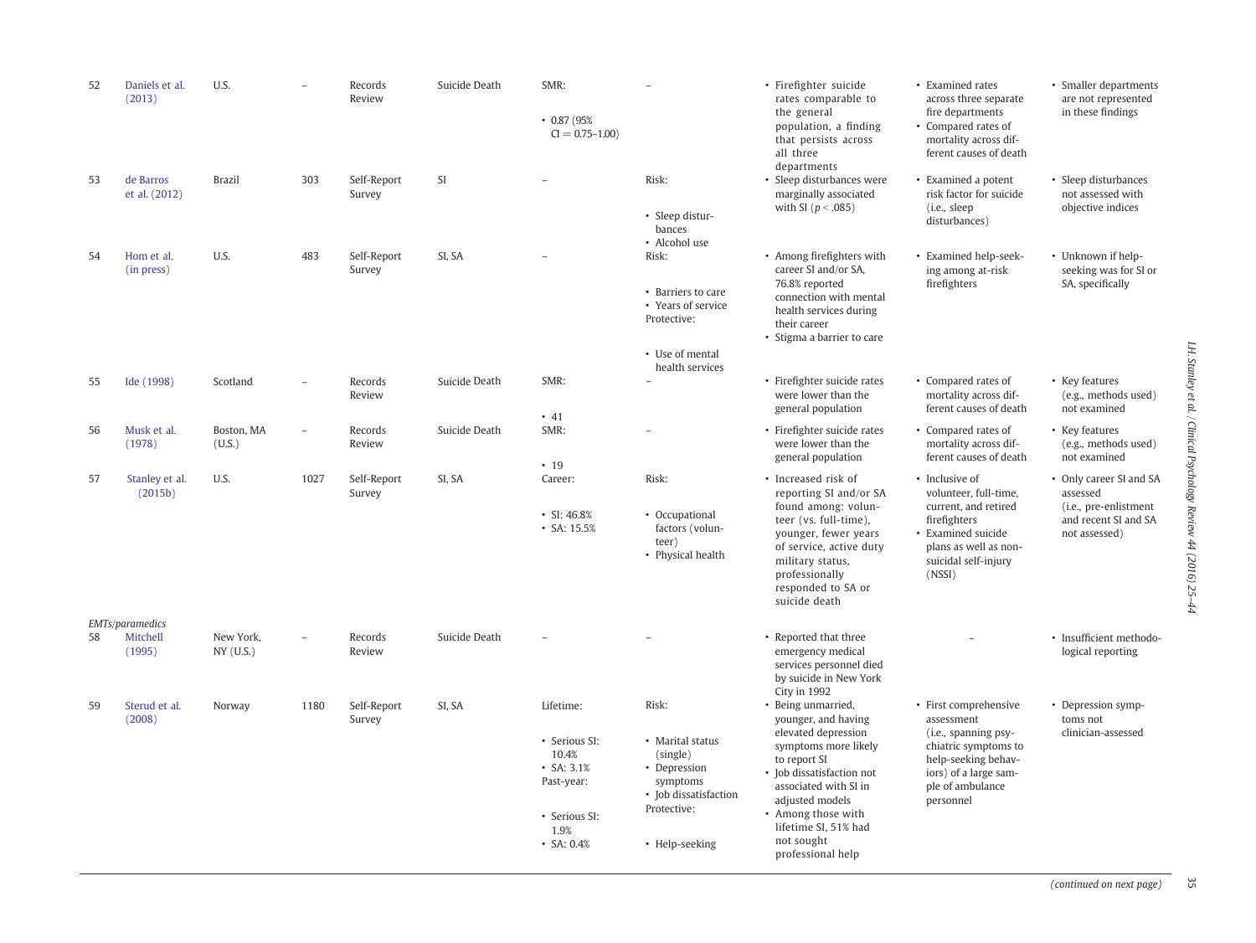| 52 | Daniels et al.<br>(2013)              | U.S.                     |      | Records<br>Review     | Suicide Death | SMR:<br>$\cdot$ 0.87 (95%)<br>$CI = 0.75 - 1.00$                                                              |                                                                                                                             | · Firefighter suicide<br>rates comparable to<br>the general<br>population, a finding<br>that persists across<br>all three<br>departments                                                                                                                           | • Examined rates<br>across three separate<br>fire departments<br>• Compared rates of<br>mortality across dif-<br>ferent causes of death                              | • Smaller departments<br>are not represented<br>in these findings                                     |
|----|---------------------------------------|--------------------------|------|-----------------------|---------------|---------------------------------------------------------------------------------------------------------------|-----------------------------------------------------------------------------------------------------------------------------|--------------------------------------------------------------------------------------------------------------------------------------------------------------------------------------------------------------------------------------------------------------------|----------------------------------------------------------------------------------------------------------------------------------------------------------------------|-------------------------------------------------------------------------------------------------------|
| 53 | de Barros<br>et al. (2012)            | <b>Brazil</b>            | 303  | Self-Report<br>Survey | SI            |                                                                                                               | Risk:<br>· Sleep distur-<br>bances<br>• Alcohol use                                                                         | • Sleep disturbances were<br>marginally associated<br>with SI ( $p < .085$ )                                                                                                                                                                                       | • Examined a potent<br>risk factor for suicide<br>(i.e., sleep<br>disturbances)                                                                                      | • Sleep disturbances<br>not assessed with<br>objective indices                                        |
| 54 | Hom et al.<br>(in press)              | U.S.                     | 483  | Self-Report<br>Survey | SI, SA        |                                                                                                               | Risk:<br>• Barriers to care<br>• Years of service<br>Protective:<br>• Use of mental<br>health services                      | • Among firefighters with<br>career SI and/or SA,<br>76.8% reported<br>connection with mental<br>health services during<br>their career<br>• Stigma a barrier to care                                                                                              | • Examined help-seek-<br>ing among at-risk<br>firefighters                                                                                                           | • Unknown if help-<br>seeking was for SI or<br>SA, specifically                                       |
| 55 | Ide (1998)                            | Scotland                 |      | Records<br>Review     | Suicide Death | SMR:<br>• 41                                                                                                  |                                                                                                                             | • Firefighter suicide rates<br>were lower than the<br>general population                                                                                                                                                                                           | • Compared rates of<br>mortality across dif-<br>ferent causes of death                                                                                               | • Key features<br>(e.g., methods used)<br>not examined                                                |
| 56 | Musk et al.<br>(1978)                 | Boston, MA<br>(U.S.)     |      | Records<br>Review     | Suicide Death | SMR:<br>• 19                                                                                                  |                                                                                                                             | • Firefighter suicide rates<br>were lower than the<br>general population                                                                                                                                                                                           | • Compared rates of<br>mortality across dif-<br>ferent causes of death                                                                                               | • Key features<br>(e.g., methods used)<br>not examined                                                |
| 57 | Stanley et al.<br>(2015b)             | U.S.                     | 1027 | Self-Report<br>Survey | SI, SA        | Career:<br>$\cdot$ SI: 46.8%<br>$\cdot$ SA: 15.5%                                                             | Risk:<br>• Occupational<br>factors (volun-<br>teer)<br>• Physical health                                                    | • Increased risk of<br>reporting SI and/or SA<br>found among: volun-<br>teer (vs. full-time),<br>younger, fewer years<br>of service, active duty<br>military status,<br>professionally<br>responded to SA or<br>suicide death                                      | • Inclusive of<br>volunteer, full-time,<br>current, and retired<br>firefighters<br>• Examined suicide<br>plans as well as non-<br>suicidal self-injury<br>(NSSI)     | • Only career SI and SA<br>assessed<br>(i.e., pre-enlistment<br>and recent SI and SA<br>not assessed) |
| 58 | EMTs/paramedics<br>Mitchell<br>(1995) | New York,<br>$NY$ (U.S.) |      | Records<br>Review     | Suicide Death |                                                                                                               |                                                                                                                             | • Reported that three<br>emergency medical<br>services personnel died<br>by suicide in New York<br>City in 1992                                                                                                                                                    |                                                                                                                                                                      | • Insufficient methodo-<br>logical reporting                                                          |
| 59 | Sterud et al.<br>(2008)               | Norway                   | 1180 | Self-Report<br>Survey | SI, SA        | Lifetime:<br>• Serious SI:<br>10.4%<br>$-SA: 3.1%$<br>Past-year:<br>• Serious SI:<br>1.9%<br>$\cdot$ SA: 0.4% | Risk:<br>• Marital status<br>(single)<br>• Depression<br>symptoms<br>• Job dissatisfaction<br>Protective:<br>• Help-seeking | • Being unmarried,<br>younger, and having<br>elevated depression<br>symptoms more likely<br>to report SI<br>• Job dissatisfaction not<br>associated with SI in<br>adjusted models<br>• Among those with<br>lifetime SI, 51% had<br>not sought<br>professional help | • First comprehensive<br>assessment<br>(i.e., spanning psy-<br>chiatric symptoms to<br>help-seeking behav-<br>iors) of a large sam-<br>ple of ambulance<br>personnel | • Depression symp-<br>toms not<br>clinician-assessed                                                  |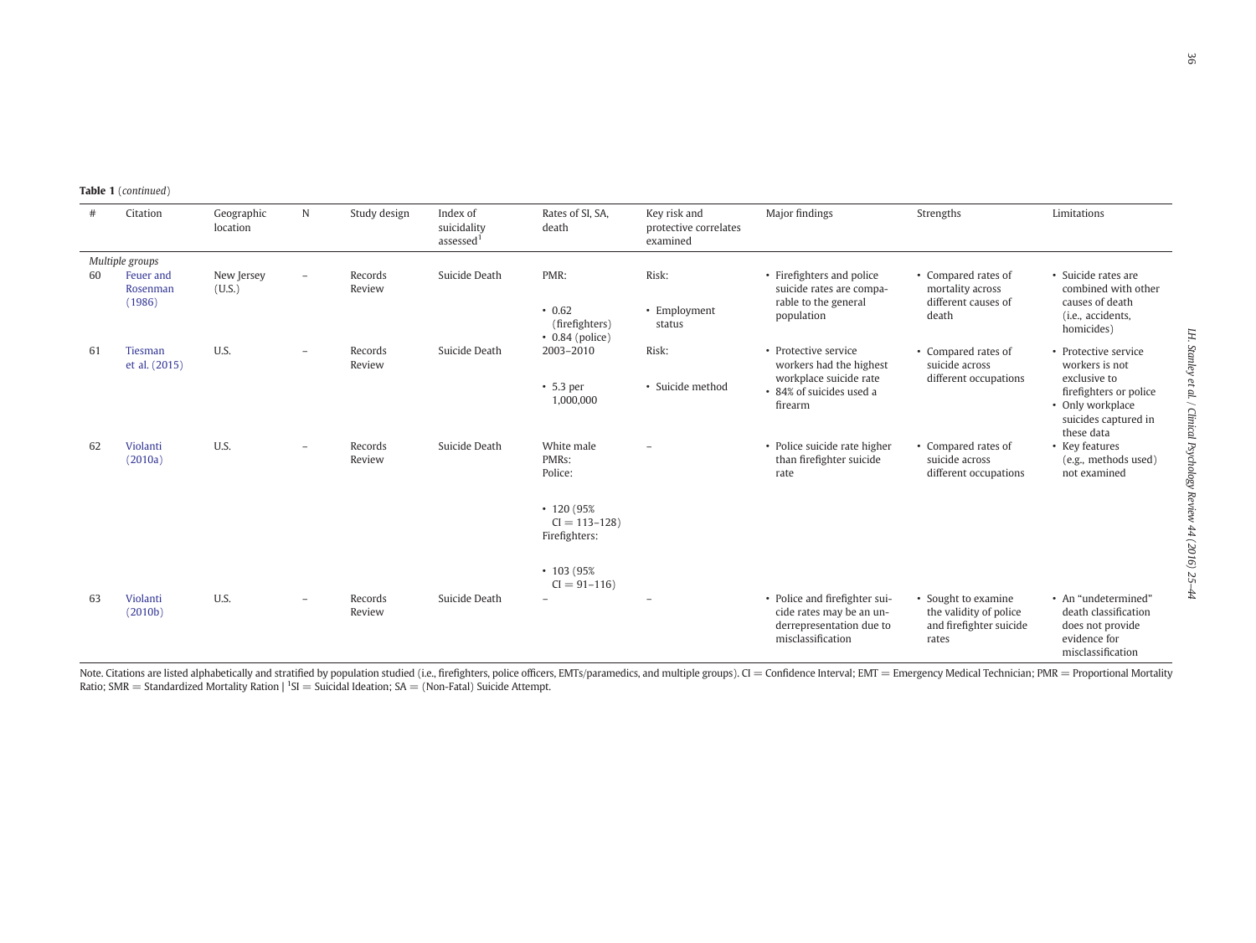**Table 1** (continued)

| #  | Citation                         | Geographic<br>location | $\mathbf N$ | Study design      | Index of<br>suicidality<br>assessed | Rates of SI, SA,<br>death                                                                | Key risk and<br>protective correlates<br>examined | Major findings                                                                                                   | Strengths                                                                         | Limitations                                                                                                                                |
|----|----------------------------------|------------------------|-------------|-------------------|-------------------------------------|------------------------------------------------------------------------------------------|---------------------------------------------------|------------------------------------------------------------------------------------------------------------------|-----------------------------------------------------------------------------------|--------------------------------------------------------------------------------------------------------------------------------------------|
|    | Multiple groups                  |                        |             |                   |                                     |                                                                                          |                                                   |                                                                                                                  |                                                                                   |                                                                                                                                            |
| 60 | Feuer and<br>Rosenman<br>(1986)  | New Jersey<br>(U.S.)   |             | Records<br>Review | Suicide Death                       | PMR:<br>0.62<br>(firefighters)<br>$\cdot$ 0.84 (police)                                  | Risk:<br>• Employment<br>status                   | • Firefighters and police<br>suicide rates are compa-<br>rable to the general<br>population                      | • Compared rates of<br>mortality across<br>different causes of<br>death           | • Suicide rates are<br>combined with other<br>causes of death<br>(i.e., accidents,<br>homicides)                                           |
| 61 | Tiesman<br>et al. (2015)         | U.S.                   |             | Records<br>Review | Suicide Death                       | 2003-2010<br>$\cdot$ 5.3 per<br>1,000,000                                                | Risk:<br>• Suicide method                         | • Protective service<br>workers had the highest<br>workplace suicide rate<br>• 84% of suicides used a<br>firearm | • Compared rates of<br>suicide across<br>different occupations                    | • Protective service<br>workers is not<br>exclusive to<br>firefighters or police<br>• Only workplace<br>suicides captured in<br>these data |
| 62 | Violanti<br>(2010a)              | U.S.                   |             | Records<br>Review | Suicide Death                       | White male<br>PMRs:<br>Police:<br>$\cdot$ 120 (95%)<br>$CI = 113 - 128$<br>Firefighters: |                                                   | • Police suicide rate higher<br>than firefighter suicide<br>rate                                                 | • Compared rates of<br>suicide across<br>different occupations                    | • Key features<br>(e.g., methods used)<br>not examined                                                                                     |
| 63 | Violanti<br>(2010 <sub>b</sub> ) | U.S.                   |             | Records<br>Review | Suicide Death                       | $\cdot$ 103 (95%)<br>$CI = 91 - 116$                                                     |                                                   | • Police and firefighter sui-<br>cide rates may be an un-<br>derrepresentation due to<br>misclassification       | • Sought to examine<br>the validity of police<br>and firefighter suicide<br>rates | • An "undetermined"<br>death classification<br>does not provide<br>evidence for<br>misclassification                                       |

Note. Citations are listed alphabetically and stratified by population studied (i.e., firefighters, police officers, EMTs/paramedics, and multiple groups). CI = Confidence Interval; EMT = Emergency Medical Technician; PMR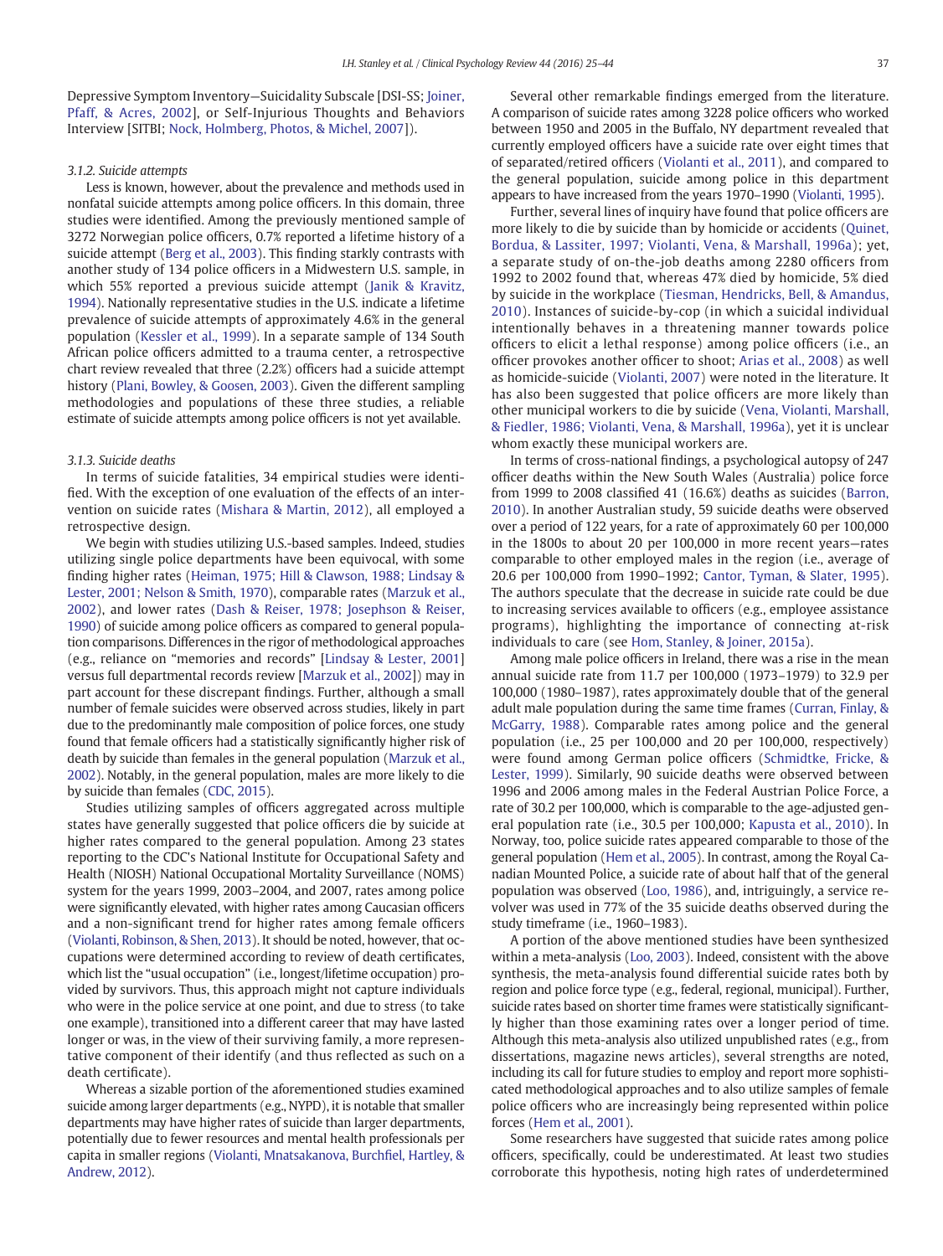Depressive Symptom Inventory—Suicidality Subscale [DSI-SS; [Joiner,](#page-18-0) [Pfaff, & Acres, 2002](#page-18-0)], or Self-Injurious Thoughts and Behaviors Interview [SITBI; [Nock, Holmberg, Photos, & Michel, 2007](#page-18-0)]).

#### 3.1.2. Suicide attempts

Less is known, however, about the prevalence and methods used in nonfatal suicide attempts among police officers. In this domain, three studies were identified. Among the previously mentioned sample of 3272 Norwegian police officers, 0.7% reported a lifetime history of a suicide attempt [\(Berg et al., 2003\)](#page-17-0). This finding starkly contrasts with another study of 134 police officers in a Midwestern U.S. sample, in which 55% reported a previous suicide attempt ([Janik & Kravitz,](#page-17-0) [1994\)](#page-17-0). Nationally representative studies in the U.S. indicate a lifetime prevalence of suicide attempts of approximately 4.6% in the general population ([Kessler et al., 1999\)](#page-18-0). In a separate sample of 134 South African police officers admitted to a trauma center, a retrospective chart review revealed that three (2.2%) officers had a suicide attempt history ([Plani, Bowley, & Goosen, 2003](#page-18-0)). Given the different sampling methodologies and populations of these three studies, a reliable estimate of suicide attempts among police officers is not yet available.

#### 3.1.3. Suicide deaths

In terms of suicide fatalities, 34 empirical studies were identified. With the exception of one evaluation of the effects of an intervention on suicide rates ([Mishara & Martin, 2012\)](#page-18-0), all employed a retrospective design.

We begin with studies utilizing U.S.-based samples. Indeed, studies utilizing single police departments have been equivocal, with some finding higher rates ([Heiman, 1975; Hill & Clawson, 1988; Lindsay &](#page-17-0) [Lester, 2001; Nelson & Smith, 1970](#page-17-0)), comparable rates ([Marzuk et al.,](#page-18-0) [2002\)](#page-18-0), and lower rates ([Dash & Reiser, 1978; Josephson & Reiser,](#page-17-0) [1990](#page-17-0)) of suicide among police officers as compared to general population comparisons. Differences in the rigor of methodological approaches (e.g., reliance on "memories and records" [\[Lindsay & Lester, 2001\]](#page-18-0) versus full departmental records review [\[Marzuk et al., 2002](#page-18-0)]) may in part account for these discrepant findings. Further, although a small number of female suicides were observed across studies, likely in part due to the predominantly male composition of police forces, one study found that female officers had a statistically significantly higher risk of death by suicide than females in the general population ([Marzuk et al.,](#page-18-0) [2002](#page-18-0)). Notably, in the general population, males are more likely to die by suicide than females [\(CDC, 2015\)](#page-17-0).

Studies utilizing samples of officers aggregated across multiple states have generally suggested that police officers die by suicide at higher rates compared to the general population. Among 23 states reporting to the CDC's National Institute for Occupational Safety and Health (NIOSH) National Occupational Mortality Surveillance (NOMS) system for the years 1999, 2003–2004, and 2007, rates among police were significantly elevated, with higher rates among Caucasian officers and a non-significant trend for higher rates among female officers [\(Violanti, Robinson, & Shen, 2013\)](#page-19-0). It should be noted, however, that occupations were determined according to review of death certificates, which list the "usual occupation" (i.e., longest/lifetime occupation) provided by survivors. Thus, this approach might not capture individuals who were in the police service at one point, and due to stress (to take one example), transitioned into a different career that may have lasted longer or was, in the view of their surviving family, a more representative component of their identify (and thus reflected as such on a death certificate).

Whereas a sizable portion of the aforementioned studies examined suicide among larger departments (e.g., NYPD), it is notable that smaller departments may have higher rates of suicide than larger departments, potentially due to fewer resources and mental health professionals per capita in smaller regions [\(Violanti, Mnatsakanova, Burch](#page-19-0)fiel, Hartley, & [Andrew, 2012\)](#page-19-0).

Several other remarkable findings emerged from the literature. A comparison of suicide rates among 3228 police officers who worked between 1950 and 2005 in the Buffalo, NY department revealed that currently employed officers have a suicide rate over eight times that of separated/retired officers [\(Violanti et al., 2011](#page-19-0)), and compared to the general population, suicide among police in this department appears to have increased from the years 1970–1990 [\(Violanti, 1995](#page-18-0)).

Further, several lines of inquiry have found that police officers are more likely to die by suicide than by homicide or accidents ([Quinet,](#page-18-0) [Bordua, & Lassiter, 1997; Violanti, Vena, & Marshall, 1996a](#page-18-0)); yet, a separate study of on-the-job deaths among 2280 officers from 1992 to 2002 found that, whereas 47% died by homicide, 5% died by suicide in the workplace ([Tiesman, Hendricks, Bell, & Amandus,](#page-18-0) [2010\)](#page-18-0). Instances of suicide-by-cop (in which a suicidal individual intentionally behaves in a threatening manner towards police officers to elicit a lethal response) among police officers (i.e., an officer provokes another officer to shoot; [Arias et al., 2008\)](#page-17-0) as well as homicide-suicide ([Violanti, 2007\)](#page-19-0) were noted in the literature. It has also been suggested that police officers are more likely than other municipal workers to die by suicide [\(Vena, Violanti, Marshall,](#page-18-0) [& Fiedler, 1986; Violanti, Vena, & Marshall, 1996a](#page-18-0)), yet it is unclear whom exactly these municipal workers are.

In terms of cross-national findings, a psychological autopsy of 247 officer deaths within the New South Wales (Australia) police force from 1999 to 2008 classified 41 (16.6%) deaths as suicides ([Barron,](#page-17-0) [2010\)](#page-17-0). In another Australian study, 59 suicide deaths were observed over a period of 122 years, for a rate of approximately 60 per 100,000 in the 1800s to about 20 per 100,000 in more recent years—rates comparable to other employed males in the region (i.e., average of 20.6 per 100,000 from 1990–1992; [Cantor, Tyman, & Slater, 1995](#page-17-0)). The authors speculate that the decrease in suicide rate could be due to increasing services available to officers (e.g., employee assistance programs), highlighting the importance of connecting at-risk individuals to care (see [Hom, Stanley, & Joiner, 2015a\)](#page-17-0).

Among male police officers in Ireland, there was a rise in the mean annual suicide rate from 11.7 per 100,000 (1973–1979) to 32.9 per 100,000 (1980–1987), rates approximately double that of the general adult male population during the same time frames [\(Curran, Finlay, &](#page-17-0) [McGarry, 1988\)](#page-17-0). Comparable rates among police and the general population (i.e., 25 per 100,000 and 20 per 100,000, respectively) were found among German police officers ([Schmidtke, Fricke, &](#page-18-0) [Lester, 1999](#page-18-0)). Similarly, 90 suicide deaths were observed between 1996 and 2006 among males in the Federal Austrian Police Force, a rate of 30.2 per 100,000, which is comparable to the age-adjusted general population rate (i.e., 30.5 per 100,000; [Kapusta et al., 2010](#page-18-0)). In Norway, too, police suicide rates appeared comparable to those of the general population ([Hem et al., 2005\)](#page-17-0). In contrast, among the Royal Canadian Mounted Police, a suicide rate of about half that of the general population was observed ([Loo, 1986\)](#page-18-0), and, intriguingly, a service revolver was used in 77% of the 35 suicide deaths observed during the study timeframe (i.e., 1960–1983).

A portion of the above mentioned studies have been synthesized within a meta-analysis [\(Loo, 2003\)](#page-18-0). Indeed, consistent with the above synthesis, the meta-analysis found differential suicide rates both by region and police force type (e.g., federal, regional, municipal). Further, suicide rates based on shorter time frames were statistically significantly higher than those examining rates over a longer period of time. Although this meta-analysis also utilized unpublished rates (e.g., from dissertations, magazine news articles), several strengths are noted, including its call for future studies to employ and report more sophisticated methodological approaches and to also utilize samples of female police officers who are increasingly being represented within police forces [\(Hem et al., 2001\)](#page-17-0).

Some researchers have suggested that suicide rates among police officers, specifically, could be underestimated. At least two studies corroborate this hypothesis, noting high rates of underdetermined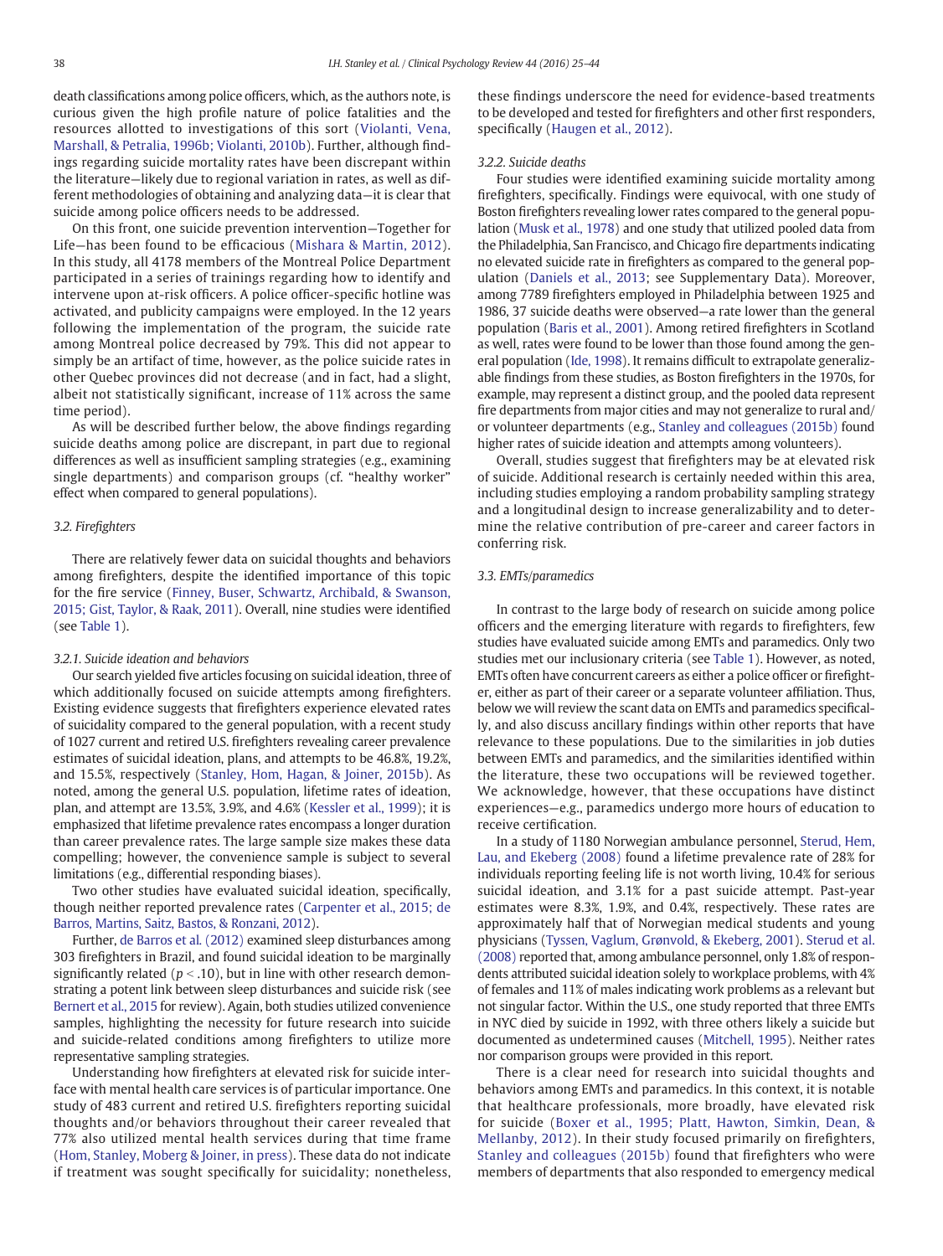death classifications among police officers, which, as the authors note, is curious given the high profile nature of police fatalities and the resources allotted to investigations of this sort ([Violanti, Vena,](#page-19-0) [Marshall, & Petralia, 1996b; Violanti, 2010b](#page-19-0)). Further, although findings regarding suicide mortality rates have been discrepant within the literature—likely due to regional variation in rates, as well as different methodologies of obtaining and analyzing data—it is clear that suicide among police officers needs to be addressed.

On this front, one suicide prevention intervention—Together for Life—has been found to be efficacious ([Mishara & Martin, 2012](#page-18-0)). In this study, all 4178 members of the Montreal Police Department participated in a series of trainings regarding how to identify and intervene upon at-risk officers. A police officer-specific hotline was activated, and publicity campaigns were employed. In the 12 years following the implementation of the program, the suicide rate among Montreal police decreased by 79%. This did not appear to simply be an artifact of time, however, as the police suicide rates in other Quebec provinces did not decrease (and in fact, had a slight, albeit not statistically significant, increase of 11% across the same time period).

As will be described further below, the above findings regarding suicide deaths among police are discrepant, in part due to regional differences as well as insufficient sampling strategies (e.g., examining single departments) and comparison groups (cf. "healthy worker" effect when compared to general populations).

#### 3.2. Firefighters

There are relatively fewer data on suicidal thoughts and behaviors among firefighters, despite the identified importance of this topic for the fire service ([Finney, Buser, Schwartz, Archibald, & Swanson,](#page-17-0) [2015; Gist, Taylor, & Raak, 2011\)](#page-17-0). Overall, nine studies were identified (see [Table 1](#page-3-0)).

#### 3.2.1. Suicide ideation and behaviors

Our search yielded five articles focusing on suicidal ideation, three of which additionally focused on suicide attempts among firefighters. Existing evidence suggests that firefighters experience elevated rates of suicidality compared to the general population, with a recent study of 1027 current and retired U.S. firefighters revealing career prevalence estimates of suicidal ideation, plans, and attempts to be 46.8%, 19.2%, and 15.5%, respectively ([Stanley, Hom, Hagan, & Joiner, 2015b\)](#page-18-0). As noted, among the general U.S. population, lifetime rates of ideation, plan, and attempt are 13.5%, 3.9%, and 4.6% [\(Kessler et al., 1999](#page-18-0)); it is emphasized that lifetime prevalence rates encompass a longer duration than career prevalence rates. The large sample size makes these data compelling; however, the convenience sample is subject to several limitations (e.g., differential responding biases).

Two other studies have evaluated suicidal ideation, specifically, though neither reported prevalence rates ([Carpenter et al., 2015; de](#page-17-0) [Barros, Martins, Saitz, Bastos, & Ronzani, 2012](#page-17-0)).

Further, [de Barros et al. \(2012\)](#page-17-0) examined sleep disturbances among 303 firefighters in Brazil, and found suicidal ideation to be marginally significantly related ( $p < .10$ ), but in line with other research demonstrating a potent link between sleep disturbances and suicide risk (see [Bernert et al., 2015](#page-17-0) for review). Again, both studies utilized convenience samples, highlighting the necessity for future research into suicide and suicide-related conditions among firefighters to utilize more representative sampling strategies.

Understanding how firefighters at elevated risk for suicide interface with mental health care services is of particular importance. One study of 483 current and retired U.S. firefighters reporting suicidal thoughts and/or behaviors throughout their career revealed that 77% also utilized mental health services during that time frame [\(Hom, Stanley, Moberg & Joiner, in press\)](#page-17-0). These data do not indicate if treatment was sought specifically for suicidality; nonetheless, these findings underscore the need for evidence-based treatments to be developed and tested for firefighters and other first responders, specifically [\(Haugen et al., 2012\)](#page-17-0).

#### 3.2.2. Suicide deaths

Four studies were identified examining suicide mortality among firefighters, specifically. Findings were equivocal, with one study of Boston firefighters revealing lower rates compared to the general population ([Musk et al., 1978](#page-18-0)) and one study that utilized pooled data from the Philadelphia, San Francisco, and Chicago fire departments indicating no elevated suicide rate in firefighters as compared to the general population ([Daniels et al., 2013](#page-17-0); see Supplementary Data). Moreover, among 7789 firefighters employed in Philadelphia between 1925 and 1986, 37 suicide deaths were observed—a rate lower than the general population [\(Baris et al., 2001\)](#page-17-0). Among retired firefighters in Scotland as well, rates were found to be lower than those found among the general population ([Ide, 1998\)](#page-17-0). It remains difficult to extrapolate generalizable findings from these studies, as Boston firefighters in the 1970s, for example, may represent a distinct group, and the pooled data represent fire departments from major cities and may not generalize to rural and/ or volunteer departments (e.g., [Stanley and colleagues \(2015b\)](#page-18-0) found higher rates of suicide ideation and attempts among volunteers).

Overall, studies suggest that firefighters may be at elevated risk of suicide. Additional research is certainly needed within this area, including studies employing a random probability sampling strategy and a longitudinal design to increase generalizability and to determine the relative contribution of pre-career and career factors in conferring risk.

#### 3.3. EMTs/paramedics

In contrast to the large body of research on suicide among police officers and the emerging literature with regards to firefighters, few studies have evaluated suicide among EMTs and paramedics. Only two studies met our inclusionary criteria (see [Table 1\)](#page-3-0). However, as noted, EMTs often have concurrent careers as either a police officer or firefighter, either as part of their career or a separate volunteer affiliation. Thus, below we will review the scant data on EMTs and paramedics specifically, and also discuss ancillary findings within other reports that have relevance to these populations. Due to the similarities in job duties between EMTs and paramedics, and the similarities identified within the literature, these two occupations will be reviewed together. We acknowledge, however, that these occupations have distinct experiences—e.g., paramedics undergo more hours of education to receive certification.

In a study of 1180 Norwegian ambulance personnel, [Sterud, Hem,](#page-18-0) [Lau, and Ekeberg \(2008\)](#page-18-0) found a lifetime prevalence rate of 28% for individuals reporting feeling life is not worth living, 10.4% for serious suicidal ideation, and 3.1% for a past suicide attempt. Past-year estimates were 8.3%, 1.9%, and 0.4%, respectively. These rates are approximately half that of Norwegian medical students and young physicians [\(Tyssen, Vaglum, Grønvold, & Ekeberg, 2001](#page-18-0)). [Sterud et al.](#page-18-0) [\(2008\)](#page-18-0) reported that, among ambulance personnel, only 1.8% of respondents attributed suicidal ideation solely to workplace problems, with 4% of females and 11% of males indicating work problems as a relevant but not singular factor. Within the U.S., one study reported that three EMTs in NYC died by suicide in 1992, with three others likely a suicide but documented as undetermined causes [\(Mitchell, 1995](#page-18-0)). Neither rates nor comparison groups were provided in this report.

There is a clear need for research into suicidal thoughts and behaviors among EMTs and paramedics. In this context, it is notable that healthcare professionals, more broadly, have elevated risk for suicide ([Boxer et al., 1995; Platt, Hawton, Simkin, Dean, &](#page-17-0) [Mellanby, 2012](#page-17-0)). In their study focused primarily on firefighters, [Stanley and colleagues \(2015b\)](#page-18-0) found that firefighters who were members of departments that also responded to emergency medical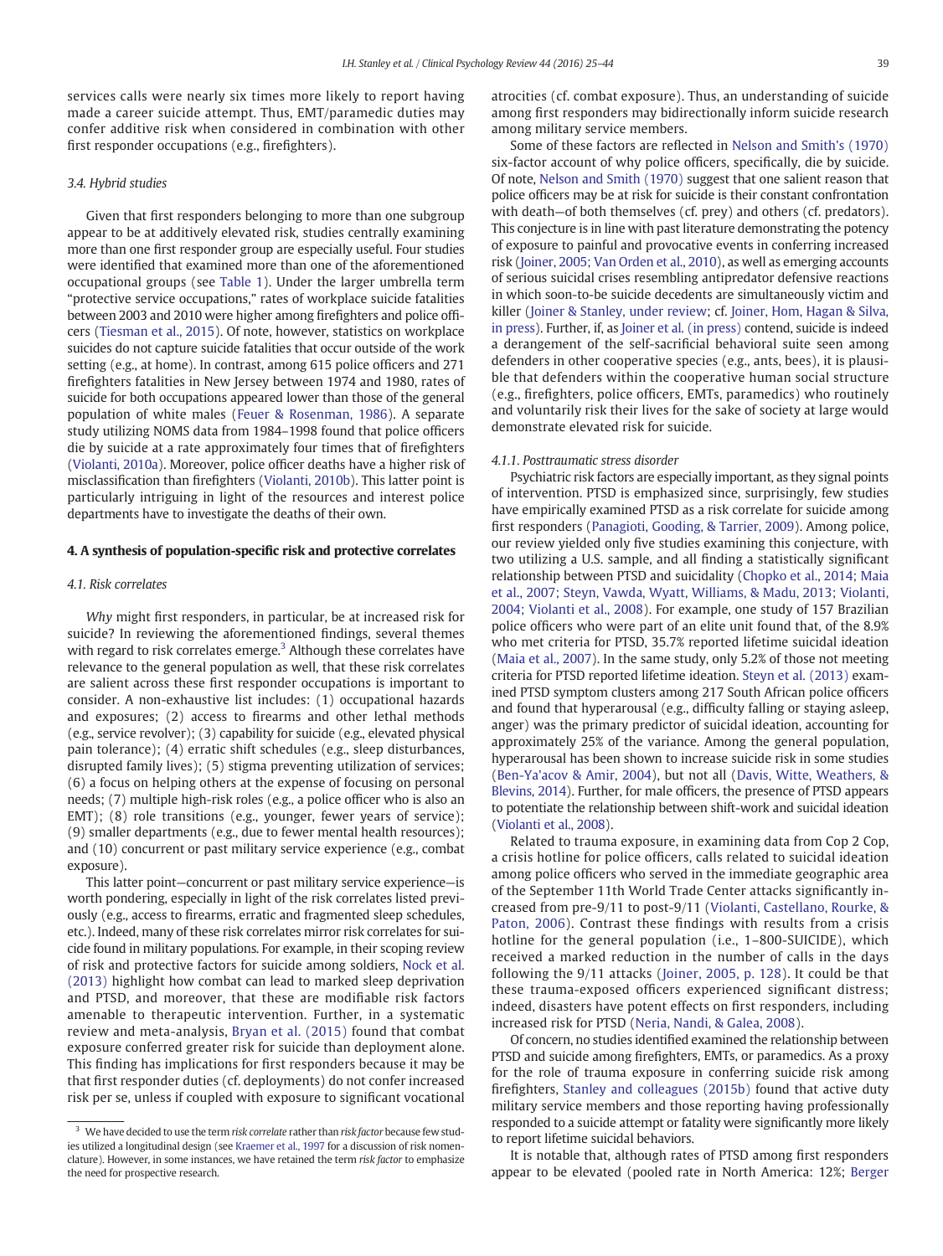services calls were nearly six times more likely to report having made a career suicide attempt. Thus, EMT/paramedic duties may confer additive risk when considered in combination with other first responder occupations (e.g., firefighters).

#### 3.4. Hybrid studies

Given that first responders belonging to more than one subgroup appear to be at additively elevated risk, studies centrally examining more than one first responder group are especially useful. Four studies were identified that examined more than one of the aforementioned occupational groups (see [Table 1](#page-3-0)). Under the larger umbrella term "protective service occupations," rates of workplace suicide fatalities between 2003 and 2010 were higher among firefighters and police officers ([Tiesman et al., 2015\)](#page-18-0). Of note, however, statistics on workplace suicides do not capture suicide fatalities that occur outside of the work setting (e.g., at home). In contrast, among 615 police officers and 271 firefighters fatalities in New Jersey between 1974 and 1980, rates of suicide for both occupations appeared lower than those of the general population of white males ([Feuer & Rosenman, 1986\)](#page-17-0). A separate study utilizing NOMS data from 1984–1998 found that police officers die by suicide at a rate approximately four times that of firefighters [\(Violanti, 2010a\)](#page-19-0). Moreover, police officer deaths have a higher risk of misclassification than firefighters ([Violanti, 2010b](#page-19-0)). This latter point is particularly intriguing in light of the resources and interest police departments have to investigate the deaths of their own.

#### 4. A synthesis of population-specific risk and protective correlates

#### 4.1. Risk correlates

Why might first responders, in particular, be at increased risk for suicide? In reviewing the aforementioned findings, several themes with regard to risk correlates emerge.<sup>3</sup> Although these correlates have relevance to the general population as well, that these risk correlates are salient across these first responder occupations is important to consider. A non-exhaustive list includes: (1) occupational hazards and exposures; (2) access to firearms and other lethal methods (e.g., service revolver); (3) capability for suicide (e.g., elevated physical pain tolerance); (4) erratic shift schedules (e.g., sleep disturbances, disrupted family lives); (5) stigma preventing utilization of services; (6) a focus on helping others at the expense of focusing on personal needs; (7) multiple high-risk roles (e.g., a police officer who is also an EMT); (8) role transitions (e.g., younger, fewer years of service); (9) smaller departments (e.g., due to fewer mental health resources); and (10) concurrent or past military service experience (e.g., combat exposure).

This latter point—concurrent or past military service experience—is worth pondering, especially in light of the risk correlates listed previously (e.g., access to firearms, erratic and fragmented sleep schedules, etc.). Indeed, many of these risk correlates mirror risk correlates for suicide found in military populations. For example, in their scoping review of risk and protective factors for suicide among soldiers, [Nock et al.](#page-18-0) [\(2013\)](#page-18-0) highlight how combat can lead to marked sleep deprivation and PTSD, and moreover, that these are modifiable risk factors amenable to therapeutic intervention. Further, in a systematic review and meta-analysis, [Bryan et al. \(2015\)](#page-17-0) found that combat exposure conferred greater risk for suicide than deployment alone. This finding has implications for first responders because it may be that first responder duties (cf. deployments) do not confer increased risk per se, unless if coupled with exposure to significant vocational atrocities (cf. combat exposure). Thus, an understanding of suicide among first responders may bidirectionally inform suicide research among military service members.

Some of these factors are reflected in [Nelson and Smith's \(1970\)](#page-18-0) six-factor account of why police officers, specifically, die by suicide. Of note, [Nelson and Smith \(1970\)](#page-18-0) suggest that one salient reason that police officers may be at risk for suicide is their constant confrontation with death—of both themselves (cf. prey) and others (cf. predators). This conjecture is in line with past literature demonstrating the potency of exposure to painful and provocative events in conferring increased risk ([Joiner, 2005; Van Orden et al., 2010\)](#page-18-0), as well as emerging accounts of serious suicidal crises resembling antipredator defensive reactions in which soon-to-be suicide decedents are simultaneously victim and killer [\(Joiner & Stanley, under review;](#page-18-0) cf. [Joiner, Hom, Hagan & Silva,](#page-18-0) [in press\)](#page-18-0). Further, if, as [Joiner et al. \(in press\)](#page-18-0) contend, suicide is indeed a derangement of the self-sacrificial behavioral suite seen among defenders in other cooperative species (e.g., ants, bees), it is plausible that defenders within the cooperative human social structure (e.g., firefighters, police officers, EMTs, paramedics) who routinely and voluntarily risk their lives for the sake of society at large would demonstrate elevated risk for suicide.

#### 4.1.1. Posttraumatic stress disorder

Psychiatric risk factors are especially important, as they signal points of intervention. PTSD is emphasized since, surprisingly, few studies have empirically examined PTSD as a risk correlate for suicide among first responders ([Panagioti, Gooding, & Tarrier, 2009\)](#page-18-0). Among police, our review yielded only five studies examining this conjecture, with two utilizing a U.S. sample, and all finding a statistically significant relationship between PTSD and suicidality [\(Chopko et al., 2014; Maia](#page-17-0) [et al., 2007; Steyn, Vawda, Wyatt, Williams, & Madu, 2013; Violanti,](#page-17-0) [2004; Violanti et al., 2008](#page-17-0)). For example, one study of 157 Brazilian police officers who were part of an elite unit found that, of the 8.9% who met criteria for PTSD, 35.7% reported lifetime suicidal ideation [\(Maia et al., 2007\)](#page-18-0). In the same study, only 5.2% of those not meeting criteria for PTSD reported lifetime ideation. [Steyn et al. \(2013\)](#page-18-0) examined PTSD symptom clusters among 217 South African police officers and found that hyperarousal (e.g., difficulty falling or staying asleep, anger) was the primary predictor of suicidal ideation, accounting for approximately 25% of the variance. Among the general population, hyperarousal has been shown to increase suicide risk in some studies [\(Ben-Ya'acov & Amir, 2004\)](#page-17-0), but not all ([Davis, Witte, Weathers, &](#page-17-0) [Blevins, 2014\)](#page-17-0). Further, for male officers, the presence of PTSD appears to potentiate the relationship between shift-work and suicidal ideation [\(Violanti et al., 2008](#page-19-0)).

Related to trauma exposure, in examining data from Cop 2 Cop, a crisis hotline for police officers, calls related to suicidal ideation among police officers who served in the immediate geographic area of the September 11th World Trade Center attacks significantly increased from pre-9/11 to post-9/11 ([Violanti, Castellano, Rourke, &](#page-19-0) [Paton, 2006](#page-19-0)). Contrast these findings with results from a crisis hotline for the general population (i.e., 1–800-SUICIDE), which received a marked reduction in the number of calls in the days following the 9/11 attacks ([Joiner, 2005, p. 128\)](#page-18-0). It could be that these trauma-exposed officers experienced significant distress; indeed, disasters have potent effects on first responders, including increased risk for PTSD [\(Neria, Nandi, & Galea, 2008\)](#page-18-0).

Of concern, no studies identified examined the relationship between PTSD and suicide among firefighters, EMTs, or paramedics. As a proxy for the role of trauma exposure in conferring suicide risk among firefighters, [Stanley and colleagues \(2015b\)](#page-18-0) found that active duty military service members and those reporting having professionally responded to a suicide attempt or fatality were significantly more likely to report lifetime suicidal behaviors.

It is notable that, although rates of PTSD among first responders appear to be elevated (pooled rate in North America: 12%; [Berger](#page-17-0)

 $3$  We have decided to use the term risk correlate rather than risk factor because few studies utilized a longitudinal design (see [Kraemer et al., 1997](#page-18-0) for a discussion of risk nomenclature). However, in some instances, we have retained the term risk factor to emphasize the need for prospective research.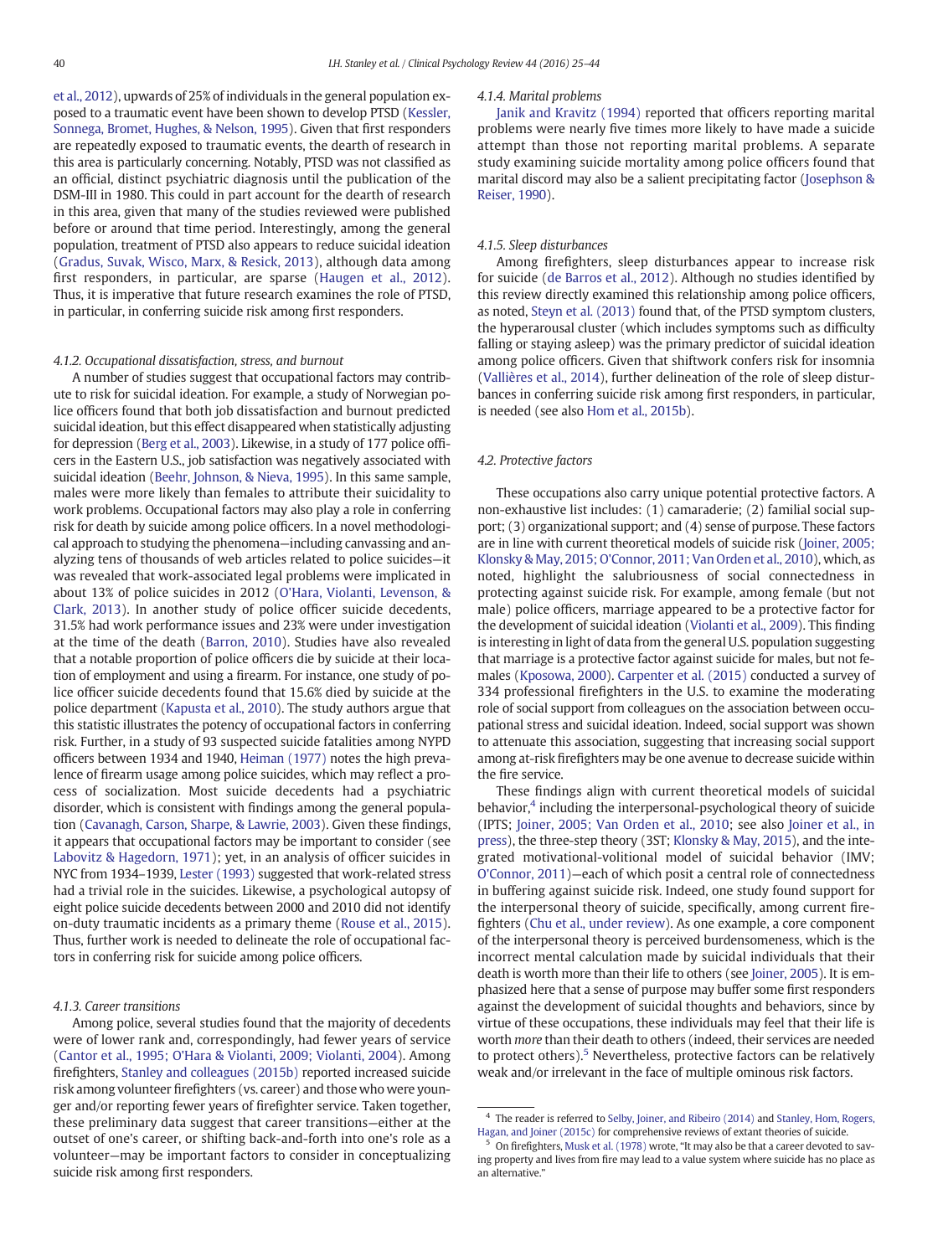[et al., 2012](#page-17-0)), upwards of 25% of individuals in the general population exposed to a traumatic event have been shown to develop PTSD ([Kessler,](#page-18-0) [Sonnega, Bromet, Hughes, & Nelson, 1995](#page-18-0)). Given that first responders are repeatedly exposed to traumatic events, the dearth of research in this area is particularly concerning. Notably, PTSD was not classified as an official, distinct psychiatric diagnosis until the publication of the DSM-III in 1980. This could in part account for the dearth of research in this area, given that many of the studies reviewed were published before or around that time period. Interestingly, among the general population, treatment of PTSD also appears to reduce suicidal ideation [\(Gradus, Suvak, Wisco, Marx, & Resick, 2013](#page-17-0)), although data among first responders, in particular, are sparse ([Haugen et al., 2012](#page-17-0)). Thus, it is imperative that future research examines the role of PTSD, in particular, in conferring suicide risk among first responders.

#### 4.1.2. Occupational dissatisfaction, stress, and burnout

A number of studies suggest that occupational factors may contribute to risk for suicidal ideation. For example, a study of Norwegian police officers found that both job dissatisfaction and burnout predicted suicidal ideation, but this effect disappeared when statistically adjusting for depression [\(Berg et al., 2003](#page-17-0)). Likewise, in a study of 177 police officers in the Eastern U.S., job satisfaction was negatively associated with suicidal ideation ([Beehr, Johnson, & Nieva, 1995\)](#page-17-0). In this same sample, males were more likely than females to attribute their suicidality to work problems. Occupational factors may also play a role in conferring risk for death by suicide among police officers. In a novel methodological approach to studying the phenomena—including canvassing and analyzing tens of thousands of web articles related to police suicides—it was revealed that work-associated legal problems were implicated in about 13% of police suicides in 2012 ([O'Hara, Violanti, Levenson, &](#page-18-0) [Clark, 2013\)](#page-18-0). In another study of police officer suicide decedents, 31.5% had work performance issues and 23% were under investigation at the time of the death ([Barron, 2010\)](#page-17-0). Studies have also revealed that a notable proportion of police officers die by suicide at their location of employment and using a firearm. For instance, one study of police officer suicide decedents found that 15.6% died by suicide at the police department ([Kapusta et al., 2010](#page-18-0)). The study authors argue that this statistic illustrates the potency of occupational factors in conferring risk. Further, in a study of 93 suspected suicide fatalities among NYPD officers between 1934 and 1940, [Heiman \(1977\)](#page-17-0) notes the high prevalence of firearm usage among police suicides, which may reflect a process of socialization. Most suicide decedents had a psychiatric disorder, which is consistent with findings among the general population ([Cavanagh, Carson, Sharpe, & Lawrie, 2003\)](#page-17-0). Given these findings, it appears that occupational factors may be important to consider (see [Labovitz & Hagedorn, 1971\)](#page-18-0); yet, in an analysis of officer suicides in NYC from 1934–1939, [Lester \(1993\)](#page-18-0) suggested that work-related stress had a trivial role in the suicides. Likewise, a psychological autopsy of eight police suicide decedents between 2000 and 2010 did not identify on-duty traumatic incidents as a primary theme [\(Rouse et al., 2015](#page-18-0)). Thus, further work is needed to delineate the role of occupational factors in conferring risk for suicide among police officers.

#### 4.1.3. Career transitions

Among police, several studies found that the majority of decedents were of lower rank and, correspondingly, had fewer years of service [\(Cantor et al., 1995; O'Hara & Violanti, 2009; Violanti, 2004\)](#page-17-0). Among firefighters, [Stanley and colleagues \(2015b\)](#page-18-0) reported increased suicide risk among volunteer firefighters (vs. career) and those who were younger and/or reporting fewer years of firefighter service. Taken together, these preliminary data suggest that career transitions—either at the outset of one's career, or shifting back-and-forth into one's role as a volunteer—may be important factors to consider in conceptualizing suicide risk among first responders.

#### 4.1.4. Marital problems

[Janik and Kravitz \(1994\)](#page-17-0) reported that officers reporting marital problems were nearly five times more likely to have made a suicide attempt than those not reporting marital problems. A separate study examining suicide mortality among police officers found that marital discord may also be a salient precipitating factor ([Josephson &](#page-18-0) [Reiser, 1990](#page-18-0)).

#### 4.1.5. Sleep disturbances

Among firefighters, sleep disturbances appear to increase risk for suicide ([de Barros et al., 2012\)](#page-17-0). Although no studies identified by this review directly examined this relationship among police officers, as noted, [Steyn et al. \(2013\)](#page-18-0) found that, of the PTSD symptom clusters, the hyperarousal cluster (which includes symptoms such as difficulty falling or staying asleep) was the primary predictor of suicidal ideation among police officers. Given that shiftwork confers risk for insomnia [\(Vallières et al., 2014\)](#page-18-0), further delineation of the role of sleep disturbances in conferring suicide risk among first responders, in particular, is needed (see also [Hom et al., 2015b](#page-17-0)).

#### 4.2. Protective factors

These occupations also carry unique potential protective factors. A non-exhaustive list includes: (1) camaraderie; (2) familial social support; (3) organizational support; and (4) sense of purpose. These factors are in line with current theoretical models of suicide risk ([Joiner, 2005;](#page-18-0) [Klonsky & May, 2015; O'Connor, 2011; Van Orden et al., 2010\)](#page-18-0), which, as noted, highlight the salubriousness of social connectedness in protecting against suicide risk. For example, among female (but not male) police officers, marriage appeared to be a protective factor for the development of suicidal ideation [\(Violanti et al., 2009\)](#page-19-0). This finding is interesting in light of data from the general U.S. population suggesting that marriage is a protective factor against suicide for males, but not females [\(Kposowa, 2000\)](#page-18-0). [Carpenter et al. \(2015\)](#page-17-0) conducted a survey of 334 professional firefighters in the U.S. to examine the moderating role of social support from colleagues on the association between occupational stress and suicidal ideation. Indeed, social support was shown to attenuate this association, suggesting that increasing social support among at-risk firefighters may be one avenue to decrease suicide within the fire service.

These findings align with current theoretical models of suicidal behavior,<sup>4</sup> including the interpersonal-psychological theory of suicide (IPTS; [Joiner, 2005; Van Orden et al., 2010;](#page-18-0) see also [Joiner et al., in](#page-18-0) [press](#page-18-0)), the three-step theory (3ST; [Klonsky & May, 2015\)](#page-18-0), and the integrated motivational-volitional model of suicidal behavior (IMV; [O'Connor, 2011\)](#page-18-0)—each of which posit a central role of connectedness in buffering against suicide risk. Indeed, one study found support for the interpersonal theory of suicide, specifically, among current firefighters ([Chu et al., under review](#page-17-0)). As one example, a core component of the interpersonal theory is perceived burdensomeness, which is the incorrect mental calculation made by suicidal individuals that their death is worth more than their life to others (see [Joiner, 2005\)](#page-18-0). It is emphasized here that a sense of purpose may buffer some first responders against the development of suicidal thoughts and behaviors, since by virtue of these occupations, these individuals may feel that their life is worth more than their death to others (indeed, their services are needed to protect others).<sup>5</sup> Nevertheless, protective factors can be relatively weak and/or irrelevant in the face of multiple ominous risk factors.

<sup>&</sup>lt;sup>4</sup> The reader is referred to [Selby, Joiner, and Ribeiro \(2014\)](#page-18-0) and [Stanley, Hom, Rogers,](#page-18-0) [Hagan, and Joiner \(2015c\)](#page-18-0) for comprehensive reviews of extant theories of suicide.

<sup>5</sup> On firefighters, [Musk et al. \(1978\)](#page-18-0) wrote, "It may also be that a career devoted to saving property and lives from fire may lead to a value system where suicide has no place as an alternative."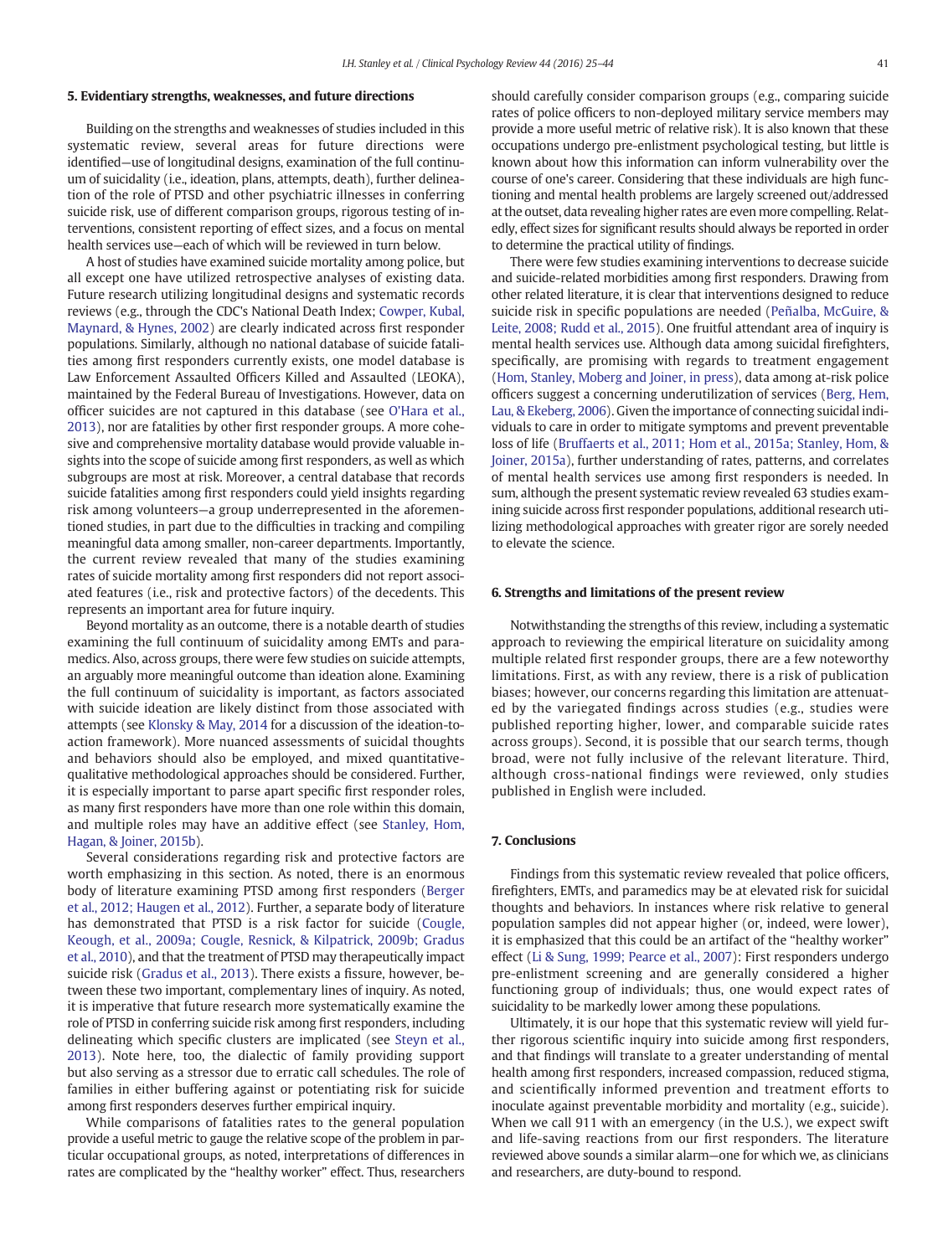#### 5. Evidentiary strengths, weaknesses, and future directions

Building on the strengths and weaknesses of studies included in this systematic review, several areas for future directions were identified—use of longitudinal designs, examination of the full continuum of suicidality (i.e., ideation, plans, attempts, death), further delineation of the role of PTSD and other psychiatric illnesses in conferring suicide risk, use of different comparison groups, rigorous testing of interventions, consistent reporting of effect sizes, and a focus on mental health services use—each of which will be reviewed in turn below.

A host of studies have examined suicide mortality among police, but all except one have utilized retrospective analyses of existing data. Future research utilizing longitudinal designs and systematic records reviews (e.g., through the CDC's National Death Index; [Cowper, Kubal,](#page-17-0) [Maynard, & Hynes, 2002](#page-17-0)) are clearly indicated across first responder populations. Similarly, although no national database of suicide fatalities among first responders currently exists, one model database is Law Enforcement Assaulted Officers Killed and Assaulted (LEOKA), maintained by the Federal Bureau of Investigations. However, data on officer suicides are not captured in this database (see [O'Hara et al.,](#page-18-0) [2013\)](#page-18-0), nor are fatalities by other first responder groups. A more cohesive and comprehensive mortality database would provide valuable insights into the scope of suicide among first responders, as well as which subgroups are most at risk. Moreover, a central database that records suicide fatalities among first responders could yield insights regarding risk among volunteers—a group underrepresented in the aforementioned studies, in part due to the difficulties in tracking and compiling meaningful data among smaller, non-career departments. Importantly, the current review revealed that many of the studies examining rates of suicide mortality among first responders did not report associated features (i.e., risk and protective factors) of the decedents. This represents an important area for future inquiry.

Beyond mortality as an outcome, there is a notable dearth of studies examining the full continuum of suicidality among EMTs and paramedics. Also, across groups, there were few studies on suicide attempts, an arguably more meaningful outcome than ideation alone. Examining the full continuum of suicidality is important, as factors associated with suicide ideation are likely distinct from those associated with attempts (see [Klonsky & May, 2014](#page-18-0) for a discussion of the ideation-toaction framework). More nuanced assessments of suicidal thoughts and behaviors should also be employed, and mixed quantitativequalitative methodological approaches should be considered. Further, it is especially important to parse apart specific first responder roles, as many first responders have more than one role within this domain, and multiple roles may have an additive effect (see [Stanley, Hom,](#page-18-0) [Hagan, & Joiner, 2015b](#page-18-0)).

Several considerations regarding risk and protective factors are worth emphasizing in this section. As noted, there is an enormous body of literature examining PTSD among first responders ([Berger](#page-17-0) [et al., 2012; Haugen et al., 2012\)](#page-17-0). Further, a separate body of literature has demonstrated that PTSD is a risk factor for suicide ([Cougle,](#page-17-0) [Keough, et al., 2009a; Cougle, Resnick, & Kilpatrick, 2009b; Gradus](#page-17-0) [et al., 2010](#page-17-0)), and that the treatment of PTSD may therapeutically impact suicide risk ([Gradus et al., 2013\)](#page-17-0). There exists a fissure, however, between these two important, complementary lines of inquiry. As noted, it is imperative that future research more systematically examine the role of PTSD in conferring suicide risk among first responders, including delineating which specific clusters are implicated (see [Steyn et al.,](#page-18-0) [2013\)](#page-18-0). Note here, too, the dialectic of family providing support but also serving as a stressor due to erratic call schedules. The role of families in either buffering against or potentiating risk for suicide among first responders deserves further empirical inquiry.

While comparisons of fatalities rates to the general population provide a useful metric to gauge the relative scope of the problem in particular occupational groups, as noted, interpretations of differences in rates are complicated by the "healthy worker" effect. Thus, researchers should carefully consider comparison groups (e.g., comparing suicide rates of police officers to non-deployed military service members may provide a more useful metric of relative risk). It is also known that these occupations undergo pre-enlistment psychological testing, but little is known about how this information can inform vulnerability over the course of one's career. Considering that these individuals are high functioning and mental health problems are largely screened out/addressed at the outset, data revealing higher rates are even more compelling. Relatedly, effect sizes for significant results should always be reported in order to determine the practical utility of findings.

There were few studies examining interventions to decrease suicide and suicide-related morbidities among first responders. Drawing from other related literature, it is clear that interventions designed to reduce suicide risk in specific populations are needed [\(Peñalba, McGuire, &](#page-18-0) [Leite, 2008; Rudd et al., 2015\)](#page-18-0). One fruitful attendant area of inquiry is mental health services use. Although data among suicidal firefighters, specifically, are promising with regards to treatment engagement [\(Hom, Stanley, Moberg and Joiner, in press](#page-17-0)), data among at-risk police officers suggest a concerning underutilization of services [\(Berg, Hem,](#page-17-0) [Lau, & Ekeberg, 2006\)](#page-17-0). Given the importance of connecting suicidal individuals to care in order to mitigate symptoms and prevent preventable loss of life ([Bruffaerts et al., 2011; Hom et al., 2015a; Stanley, Hom, &](#page-17-0) [Joiner, 2015a](#page-17-0)), further understanding of rates, patterns, and correlates of mental health services use among first responders is needed. In sum, although the present systematic review revealed 63 studies examining suicide across first responder populations, additional research utilizing methodological approaches with greater rigor are sorely needed to elevate the science.

#### 6. Strengths and limitations of the present review

Notwithstanding the strengths of this review, including a systematic approach to reviewing the empirical literature on suicidality among multiple related first responder groups, there are a few noteworthy limitations. First, as with any review, there is a risk of publication biases; however, our concerns regarding this limitation are attenuated by the variegated findings across studies (e.g., studies were published reporting higher, lower, and comparable suicide rates across groups). Second, it is possible that our search terms, though broad, were not fully inclusive of the relevant literature. Third, although cross-national findings were reviewed, only studies published in English were included.

#### 7. Conclusions

Findings from this systematic review revealed that police officers, firefighters, EMTs, and paramedics may be at elevated risk for suicidal thoughts and behaviors. In instances where risk relative to general population samples did not appear higher (or, indeed, were lower), it is emphasized that this could be an artifact of the "healthy worker" effect [\(Li & Sung, 1999; Pearce et al., 2007\)](#page-18-0): First responders undergo pre-enlistment screening and are generally considered a higher functioning group of individuals; thus, one would expect rates of suicidality to be markedly lower among these populations.

Ultimately, it is our hope that this systematic review will yield further rigorous scientific inquiry into suicide among first responders, and that findings will translate to a greater understanding of mental health among first responders, increased compassion, reduced stigma, and scientifically informed prevention and treatment efforts to inoculate against preventable morbidity and mortality (e.g., suicide). When we call 911 with an emergency (in the U.S.), we expect swift and life-saving reactions from our first responders. The literature reviewed above sounds a similar alarm—one for which we, as clinicians and researchers, are duty-bound to respond.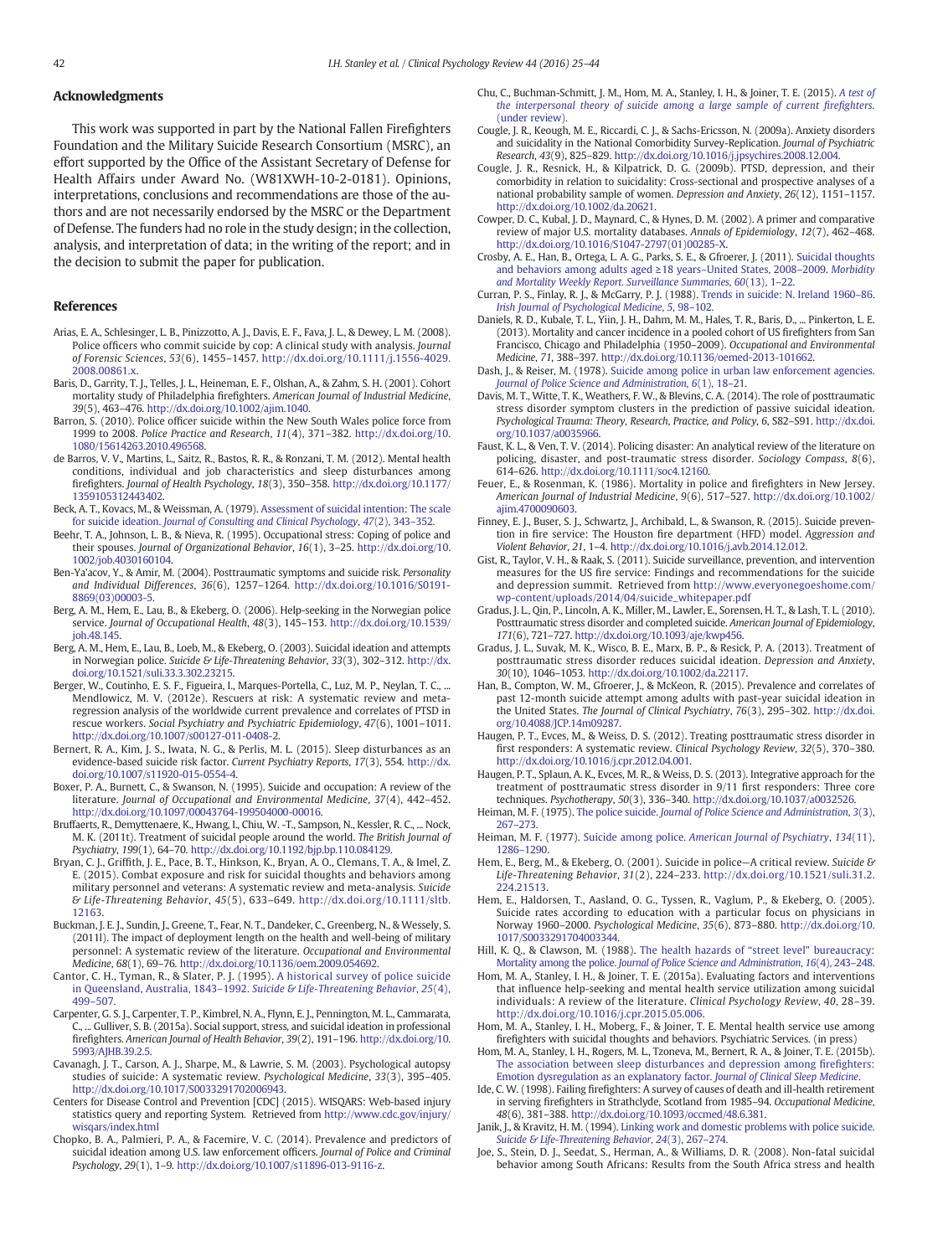#### <span id="page-17-0"></span>Acknowledgments

This work was supported in part by the National Fallen Firefighters Foundation and the Military Suicide Research Consortium (MSRC), an effort supported by the Office of the Assistant Secretary of Defense for Health Affairs under Award No. (W81XWH-10-2-0181). Opinions, interpretations, conclusions and recommendations are those of the authors and are not necessarily endorsed by the MSRC or the Department of Defense. The funders had no role in the study design; in the collection, analysis, and interpretation of data; in the writing of the report; and in the decision to submit the paper for publication.

#### References

- Arias, E. A., Schlesinger, L. B., Pinizzotto, A. J., Davis, E. F., Fava, J. L., & Dewey, L. M. (2008). Police officers who commit suicide by cop: A clinical study with analysis. Journal of Forensic Sciences, 53(6), 1455–1457. http://dx.doi.org/[10.1111/j.1556-4029.](http://dx.doi.org/10.1111/j.1556-4029.2008.00861.x) [2008.00861.x](http://dx.doi.org/10.1111/j.1556-4029.2008.00861.x).
- Baris, D., Garrity, T. J., Telles, J. L., Heineman, E. F., Olshan, A., & Zahm, S. H. (2001). Cohort mortality study of Philadelphia firefighters. American Journal of Industrial Medicine, 39(5), 463–476. http://dx.doi.org/[10.1002/ajim.1040.](http://dx.doi.org/10.1002/ajim.1040)
- Barron, S. (2010). Police officer suicide within the New South Wales police force from 1999 to 2008. Police Practice and Research, 11(4), 371–382. http://dx.doi.org/[10.](http://dx.doi.org/10.1080/15614263.2010.496568) [1080/15614263.2010.496568.](http://dx.doi.org/10.1080/15614263.2010.496568)
- de Barros, V. V., Martins, L., Saitz, R., Bastos, R. R., & Ronzani, T. M. (2012). Mental health conditions, individual and job characteristics and sleep disturbances among firefighters. Journal of Health Psychology, 18(3), 350–358. http://dx.doi.org/[10.1177/](http://dx.doi.org/10.1177/1359105312443402) [1359105312443402.](http://dx.doi.org/10.1177/1359105312443402)
- Beck, A. T., Kovacs, M., & Weissman, A. (1979). [Assessment of suicidal intention: The scale](http://refhub.elsevier.com/S0272-7358(15)30068-4/rf0025) for suicide ideation. [Journal of Consulting and Clinical Psychology](http://refhub.elsevier.com/S0272-7358(15)30068-4/rf0025), 47(2), 343–352.
- Beehr, T. A., Johnson, L. B., & Nieva, R. (1995). Occupational stress: Coping of police and their spouses. Journal of Organizational Behavior, 16(1), 3–25. http://dx.doi.org[/10.](http://dx.doi.org/10.1002/job.4030160104) [1002/job.4030160104.](http://dx.doi.org/10.1002/job.4030160104)
- Ben-Ya'acov, Y., & Amir, M. (2004). Posttraumatic symptoms and suicide risk. Personality and Individual Differences, 36(6), 1257–1264. http://dx.doi.org/[10.1016/S0191-](http://dx.doi.org/10.1016/S0191-8869(03)00003-5) [8869\(03\)00003-5](http://dx.doi.org/10.1016/S0191-8869(03)00003-5).
- Berg, A. M., Hem, E., Lau, B., & Ekeberg, O. (2006). Help-seeking in the Norwegian police service. Journal of Occupational Health, 48(3), 145–153. http://dx.doi.org[/10.1539/](http://dx.doi.org/10.1539/joh.48.145) [joh.48.145](http://dx.doi.org/10.1539/joh.48.145).
- Berg, A. M., Hem, E., Lau, B., Loeb, M., & Ekeberg, O. (2003). Suicidal ideation and attempts in Norwegian police. Suicide & Life-Threatening Behavior, 33(3), 302–312. http://dx. doi.org/[10.1521/suli.33.3.302.23215.](http://dx.doi.org/10.1521/suli.33.3.302.23215)
- Berger, W., Coutinho, E. S. F., Figueira, I., Marques-Portella, C., Luz, M. P., Neylan, T. C., ... Mendlowicz, M. V. (2012e). Rescuers at risk: A systematic review and metaregression analysis of the worldwide current prevalence and correlates of PTSD in rescue workers. Social Psychiatry and Psychiatric Epidemiology, 47(6), 1001–1011. http://dx.doi.org[/10.1007/s00127-011-0408-2.](http://dx.doi.org/10.1007/s00127-011-0408-2)
- Bernert, R. A., Kim, J. S., Iwata, N. G., & Perlis, M. L. (2015). Sleep disturbances as an evidence-based suicide risk factor. Current Psychiatry Reports, 17(3), 554. http://dx. doi.org/[10.1007/s11920-015-0554-4.](http://dx.doi.org/10.1007/s11920-015-0554-4)
- Boxer, P. A., Burnett, C., & Swanson, N. (1995). Suicide and occupation: A review of the literature. Journal of Occupational and Environmental Medicine, 37(4), 442–452. http://dx.doi.org[/10.1097/00043764-199504000-00016.](http://dx.doi.org/10.1097/00043764-199504000-00016)
- Bruffaerts, R., Demyttenaere, K., Hwang, I., Chiu, W. -T., Sampson, N., Kessler, R. C., ... Nock, M. K. (2011t). Treatment of suicidal people around the world. The British Journal of Psychiatry, 199(1), 64–70. http://dx.doi.org[/10.1192/bjp.bp.110.084129.](http://dx.doi.org/10.1192/bjp.bp.110.084129)
- Bryan, C. J., Griffith, J. E., Pace, B. T., Hinkson, K., Bryan, A. O., Clemans, T. A., & Imel, Z. E. (2015). Combat exposure and risk for suicidal thoughts and behaviors among military personnel and veterans: A systematic review and meta-analysis. Suicide & Life-Threatening Behavior, 45(5), 633–649. http://dx.doi.org/[10.1111/sltb.](http://dx.doi.org/10.1111/sltb.12163) [12163](http://dx.doi.org/10.1111/sltb.12163).
- Buckman, J. E. J., Sundin, J., Greene, T., Fear, N. T., Dandeker, C., Greenberg, N., & Wessely, S. (2011l). The impact of deployment length on the health and well-being of military personnel: A systematic review of the literature. Occupational and Environmental Medicine, 68(1), 69–76. http://dx.doi.org/[10.1136/oem.2009.054692](http://dx.doi.org/10.1136/oem.2009.054692).
- Cantor, C. H., Tyman, R., & Slater, P. J. (1995). [A historical survey of police suicide](http://refhub.elsevier.com/S0272-7358(15)30068-4/rf0080) in Queensland, Australia, 1843–1992. [Suicide & Life-Threatening Behavior](http://refhub.elsevier.com/S0272-7358(15)30068-4/rf0080), 25(4), 499–[507.](http://refhub.elsevier.com/S0272-7358(15)30068-4/rf0080)
- Carpenter, G. S. J., Carpenter, T. P., Kimbrel, N. A., Flynn, E. J., Pennington, M. L., Cammarata, C., ... Gulliver, S. B. (2015a). Social support, stress, and suicidal ideation in professional firefighters. American Journal of Health Behavior, 39(2), 191–196. http://dx.doi.org[/10.](http://dx.doi.org/10.5993/AJHB.39.2.5) [5993/AJHB.39.2.5.](http://dx.doi.org/10.5993/AJHB.39.2.5)
- Cavanagh, J. T., Carson, A. J., Sharpe, M., & Lawrie, S. M. (2003). Psychological autopsy studies of suicide: A systematic review. Psychological Medicine, 33(3), 395–405. http://dx.doi.org[/10.1017/S0033291702006943](http://dx.doi.org/10.1017/S0033291702006943).
- Centers for Disease Control and Prevention [CDC] (2015). WISQARS: Web-based injury statistics query and reporting System. Retrieved from [http://www.cdc.gov/injury/](http://www.cdc.gov/injury/wisqars/index.html) [wisqars/index.html](http://www.cdc.gov/injury/wisqars/index.html)
- Chopko, B. A., Palmieri, P. A., & Facemire, V. C. (2014). Prevalence and predictors of suicidal ideation among U.S. law enforcement officers. Journal of Police and Criminal Psychology, 29(1), 1–9. http://dx.doi.org/[10.1007/s11896-013-9116-z](http://dx.doi.org/10.1007/s11896-013-9116-z).
- Chu, C., Buchman-Schmitt, J. M., Hom, M. A., Stanley, I. H., & Joiner, T. E. (2015). [A test of](http://refhub.elsevier.com/S0272-7358(15)30068-4/rf0105) [the interpersonal theory of suicide among a large sample of current](http://refhub.elsevier.com/S0272-7358(15)30068-4/rf0105) firefighters. [\(under review\).](http://refhub.elsevier.com/S0272-7358(15)30068-4/rf0105)
- Cougle, J. R., Keough, M. E., Riccardi, C. J., & Sachs-Ericsson, N. (2009a). Anxiety disorders and suicidality in the National Comorbidity Survey-Replication. Journal of Psychiatric Research, 43(9), 825–829. http://dx.doi.org[/10.1016/j.jpsychires.2008.12.004.](http://dx.doi.org/10.1016/j.jpsychires.2008.12.004)
- Cougle, J. R., Resnick, H., & Kilpatrick, D. G. (2009b). PTSD, depression, and their comorbidity in relation to suicidality: Cross-sectional and prospective analyses of a national probability sample of women. Depression and Anxiety, 26(12), 1151–1157. http://dx.doi.org[/10.1002/da.20621](http://dx.doi.org/10.1002/da.20621).
- Cowper, D. C., Kubal, J. D., Maynard, C., & Hynes, D. M. (2002). A primer and comparative review of major U.S. mortality databases. Annals of Epidemiology, 12(7), 462–468. http://dx.doi.org[/10.1016/S1047-2797\(01\)00285-X.](http://dx.doi.org/10.1016/S1047-2797(01)00285-X)
- Crosby, A. E., Han, B., Ortega, L. A. G., Parks, S. E., & Gfroerer, J. (2011). [Suicidal thoughts](http://refhub.elsevier.com/S0272-7358(15)30068-4/rf0125) [and behaviors among adults aged](http://refhub.elsevier.com/S0272-7358(15)30068-4/rf0125) ≥18 years–United States, 2008–2009. Morbidity [and Mortality Weekly Report. Surveillance Summaries](http://refhub.elsevier.com/S0272-7358(15)30068-4/rf0125), 60(13), 1–22.
- Curran, P. S., Finlay, R. J., & McGarry, P. J. (1988). [Trends in suicide: N. Ireland 1960](http://refhub.elsevier.com/S0272-7358(15)30068-4/rf0130)–86. [Irish Journal of Psychological Medicine](http://refhub.elsevier.com/S0272-7358(15)30068-4/rf0130), 5, 98–102.
- Daniels, R. D., Kubale, T. L., Yiin, J. H., Dahm, M. M., Hales, T. R., Baris, D., ... Pinkerton, L. E. (2013). Mortality and cancer incidence in a pooled cohort of US firefighters from San Francisco, Chicago and Philadelphia (1950–2009). Occupational and Environmental Medicine, 71, 388–397. http://dx.doi.org/[10.1136/oemed-2013-101662](http://dx.doi.org/10.1136/oemed-2013-101662).
- Dash, J., & Reiser, M. (1978). [Suicide among police in urban law enforcement agencies.](http://refhub.elsevier.com/S0272-7358(15)30068-4/rf0140) [Journal of Police Science and Administration](http://refhub.elsevier.com/S0272-7358(15)30068-4/rf0140), 6(1), 18–21.
- Davis, M. T., Witte, T. K., Weathers, F. W., & Blevins, C. A. (2014). The role of posttraumatic stress disorder symptom clusters in the prediction of passive suicidal ideation. Psychological Trauma: Theory, Research, Practice, and Policy, 6, S82–S91. http://dx.doi. org[/10.1037/a0035966](http://dx.doi.org/10.1037/a0035966).
- Faust, K. L., & Ven, T. V. (2014). Policing disaster: An analytical review of the literature on policing, disaster, and post-traumatic stress disorder. Sociology Compass, 8(6), 614–626. http://dx.doi.org/[10.1111/soc4.12160](http://dx.doi.org/10.1111/soc4.12160).
- Feuer, E., & Rosenman, K. (1986). Mortality in police and firefighters in New Jersey. American Journal of Industrial Medicine, 9(6), 517–527. http://dx.doi.org/[10.1002/](http://dx.doi.org/10.1002/ajim.4700090603) [ajim.4700090603](http://dx.doi.org/10.1002/ajim.4700090603).
- Finney, E. J., Buser, S. J., Schwartz, J., Archibald, L., & Swanson, R. (2015). Suicide prevention in fire service: The Houston fire department (HFD) model. Aggression and Violent Behavior, 21, 1–4. http://dx.doi.org/[10.1016/j.avb.2014.12.012.](http://dx.doi.org/10.1016/j.avb.2014.12.012)
- Gist, R., Taylor, V. H., & Raak, S. (2011). Suicide surveillance, prevention, and intervention measures for the US fire service: Findings and recommendations for the suicide and depression summit. Retrieved from [http://www.everyonegoeshome.com/](http://www.everyonegoeshome.com/wpontent/uploads/2014/04/suicide_whitepaper.pdf) [wp-content/uploads/2014/04/suicide\\_whitepaper.pdf](http://www.everyonegoeshome.com/wpontent/uploads/2014/04/suicide_whitepaper.pdf)
- Gradus, J. L., Qin, P., Lincoln, A. K., Miller, M., Lawler, E., Sorensen, H. T., & Lash, T. L. (2010). Posttraumatic stress disorder and completed suicide. American Journal of Epidemiology, 171(6), 721–727. http://dx.doi.org[/10.1093/aje/kwp456.](http://dx.doi.org/10.1093/aje/kwp456)
- Gradus, J. L., Suvak, M. K., Wisco, B. E., Marx, B. P., & Resick, P. A. (2013). Treatment of posttraumatic stress disorder reduces suicidal ideation. Depression and Anxiety, 30(10), 1046–1053. http://dx.doi.org[/10.1002/da.22117](http://dx.doi.org/10.1002/da.22117).
- Han, B., Compton, W. M., Gfroerer, J., & McKeon, R. (2015). Prevalence and correlates of past 12-month suicide attempt among adults with past-year suicidal ideation in the United States. The Journal of Clinical Psychiatry, 76(3), 295–302. http://dx.doi. org[/10.4088/JCP.14m09287](http://dx.doi.org/10.4088/JCP.14m09287).
- Haugen, P. T., Evces, M., & Weiss, D. S. (2012). Treating posttraumatic stress disorder in first responders: A systematic review. Clinical Psychology Review, 32(5), 370–380. http://dx.doi.org[/10.1016/j.cpr.2012.04.001.](http://dx.doi.org/10.1016/j.cpr.2012.04.001)
- Haugen, P. T., Splaun, A. K., Evces, M. R., & Weiss, D. S. (2013). Integrative approach for the treatment of posttraumatic stress disorder in 9/11 first responders: Three core techniques. Psychotherapy, 50(3), 336–340. http://dx.doi.org/[10.1037/a0032526.](http://dx.doi.org/10.1037/a0032526)

Heiman, M. F. (1975). The police suicide. [Journal of Police Science and Administration](http://refhub.elsevier.com/S0272-7358(15)30068-4/rf0195), 3(3), 267–[273.](http://refhub.elsevier.com/S0272-7358(15)30068-4/rf0195)

- Heiman, M. F. (1977). Suicide among police. [American Journal of Psychiatry](http://refhub.elsevier.com/S0272-7358(15)30068-4/rf0200), 134(11), 1286–[1290.](http://refhub.elsevier.com/S0272-7358(15)30068-4/rf0200)
- Hem, E., Berg, M., & Ekeberg, O. (2001). Suicide in police-A critical review. Suicide & Life-Threatening Behavior, 31(2), 224–233. http://dx.doi.org[/10.1521/suli.31.2.](http://dx.doi.org/10.1521/suli.31.2.224.21513) [224.21513](http://dx.doi.org/10.1521/suli.31.2.224.21513).
- Hem, E., Haldorsen, T., Aasland, O. G., Tyssen, R., Vaglum, P., & Ekeberg, O. (2005). Suicide rates according to education with a particular focus on physicians in Norway 1960–2000. Psychological Medicine, 35(6), 873–880. http://dx.doi.org/[10.](http://dx.doi.org/10.1017/S0033291704003344) [1017/S0033291704003344](http://dx.doi.org/10.1017/S0033291704003344).
- Hill, K. Q., & Clawson, M. (1988). [The health hazards of](http://refhub.elsevier.com/S0272-7358(15)30068-4/rf0215) "street level" bureaucracy: Mortality among the police. [Journal of Police Science and Administration](http://refhub.elsevier.com/S0272-7358(15)30068-4/rf0215), 16(4), 243–248.
- Hom, M. A., Stanley, I. H., & Joiner, T. E. (2015a). Evaluating factors and interventions that influence help-seeking and mental health service utilization among suicidal individuals: A review of the literature. Clinical Psychology Review, 40, 28–39. http://dx.doi.org/[10.1016/j.cpr.2015.05.006.](http://dx.doi.org/10.1016/j.cpr.2015.05.006)
- Hom, M. A., Stanley, I. H., Moberg, F., & Joiner, T. E. Mental health service use among firefighters with suicidal thoughts and behaviors. Psychiatric Services. (in press)
- Hom, M. A., Stanley, I. H., Rogers, M. L., Tzoneva, M., Bernert, R. A., & Joiner, T. E. (2015b). [The association between sleep disturbances and depression among](http://refhub.elsevier.com/S0272-7358(15)30068-4/rf0225) firefighters: [Emotion dysregulation as an explanatory factor.](http://refhub.elsevier.com/S0272-7358(15)30068-4/rf0225) Journal of Clinical Sleep Medicine.
- Ide, C. W. (1998). Failing firefighters: A survey of causes of death and ill-health retirement in serving firefighters in Strathclyde, Scotland from 1985–94. Occupational Medicine, 48(6), 381–388. http://dx.doi.org/[10.1093/occmed/48.6.381.](http://dx.doi.org/10.1093/occmed/48.6.381)
- Janik, J., & Kravitz, H. M. (1994). [Linking work and domestic problems with police suicide.](http://refhub.elsevier.com/S0272-7358(15)30068-4/rf0235) [Suicide & Life-Threatening Behavior](http://refhub.elsevier.com/S0272-7358(15)30068-4/rf0235), 24(3), 267–274.
- Joe, S., Stein, D. J., Seedat, S., Herman, A., & Williams, D. R. (2008). Non-fatal suicidal behavior among South Africans: Results from the South Africa stress and health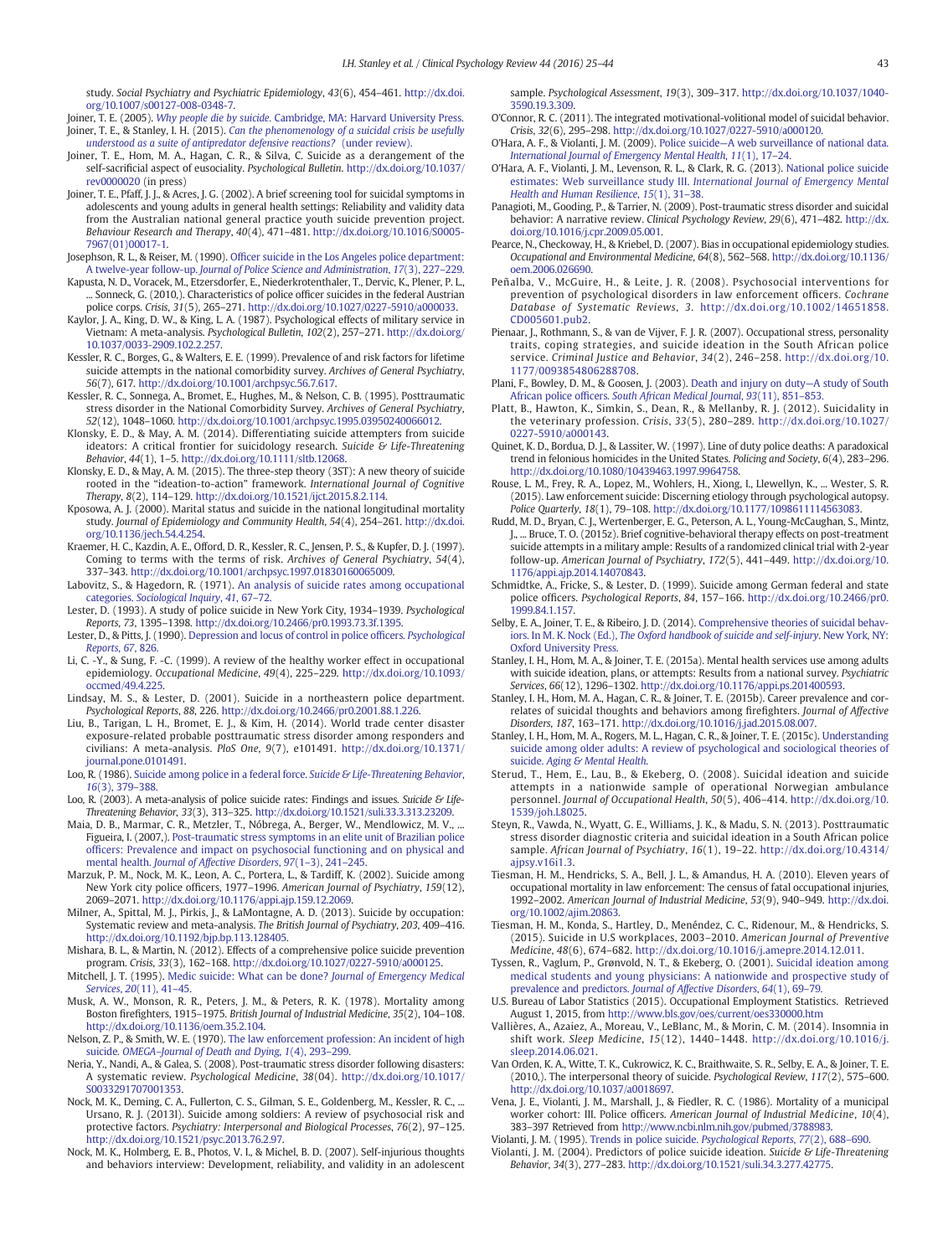<span id="page-18-0"></span>study. Social Psychiatry and Psychiatric Epidemiology, 43(6), 454–461. http://dx.doi. org[/10.1007/s00127-008-0348-7](http://dx.doi.org/10.1007/s00127-008-0348-7).

- Joiner, T. E. (2005). Why people die by suicide. [Cambridge, MA: Harvard University Press.](http://refhub.elsevier.com/S0272-7358(15)30068-4/rf0245) Joiner, T. E., & Stanley, I. H. (2015). [Can the phenomenology of a suicidal crisis be usefully](http://refhub.elsevier.com/S0272-7358(15)30068-4/rf0250) [understood as a suite of antipredator defensive reactions?](http://refhub.elsevier.com/S0272-7358(15)30068-4/rf0250) (under review).
- Joiner, T. E., Hom, M. A., Hagan, C. R., & Silva, C. Suicide as a derangement of the self-sacrificial aspect of eusociality. Psychological Bulletin. [http://dx.doi.org/10.1037/](http://dx.doi.org/10.1037/rev0000020) [rev0000020](http://dx.doi.org/10.1037/rev0000020) (in press)
- Joiner, T. E., Pfaff, J. J., & Acres, J. G. (2002). A brief screening tool for suicidal symptoms in adolescents and young adults in general health settings: Reliability and validity data from the Australian national general practice youth suicide prevention project. Behaviour Research and Therapy, 40(4), 471–481. http://dx.doi.org/[10.1016/S0005-](http://dx.doi.org/10.1016/S0005-7967(01)00017-1) [7967\(01\)00017-1](http://dx.doi.org/10.1016/S0005-7967(01)00017-1).
- Josephson, R. L., & Reiser, M. (1990). Offi[cer suicide in the Los Angeles police department:](http://refhub.elsevier.com/S0272-7358(15)30068-4/rf0260) A twelve-year follow-up. [Journal of Police Science and Administration](http://refhub.elsevier.com/S0272-7358(15)30068-4/rf0260), 17(3), 227–229.
- Kapusta, N. D., Voracek, M., Etzersdorfer, E., Niederkrotenthaler, T., Dervic, K., Plener, P. L., ... Sonneck, G. (2010,). Characteristics of police officer suicides in the federal Austrian police corps. Crisis, 31(5), 265–271. http://dx.doi.org[/10.1027/0227-5910/a000033](http://dx.doi.org/10.1027/0227-5910/a000033).
- Kaylor, J. A., King, D. W., & King, L. A. (1987). Psychological effects of military service in Vietnam: A meta-analysis. Psychological Bulletin, 102(2), 257–271. http://dx.doi.org/ [10.1037/0033-2909.102.2.257](http://dx.doi.org/10.1037/0033-2909.102.2.257).
- Kessler, R. C., Borges, G., & Walters, E. E. (1999). Prevalence of and risk factors for lifetime suicide attempts in the national comorbidity survey. Archives of General Psychiatry, 56(7), 617. http://dx.doi.org[/10.1001/archpsyc.56.7.617.](http://dx.doi.org/10.1001/archpsyc.56.7.617)
- Kessler, R. C., Sonnega, A., Bromet, E., Hughes, M., & Nelson, C. B. (1995). Posttraumatic stress disorder in the National Comorbidity Survey. Archives of General Psychiatry, 52(12), 1048–1060. http://dx.doi.org[/10.1001/archpsyc.1995.03950240066012.](http://dx.doi.org/10.1001/archpsyc.1995.03950240066012)
- Klonsky, E. D., & May, A. M. (2014). Differentiating suicide attempters from suicide ideators: A critical frontier for suicidology research. Suicide & Life-Threatening Behavior, 44(1), 1–5. http://dx.doi.org[/10.1111/sltb.12068.](http://dx.doi.org/10.1111/sltb.12068)
- Klonsky, E. D., & May, A. M. (2015). The three-step theory (3ST): A new theory of suicide rooted in the "ideation-to-action" framework. International Journal of Cognitive Therapy, 8(2), 114–129. http://dx.doi.org[/10.1521/ijct.2015.8.2.114](http://dx.doi.org/10.1521/ijct.2015.8.2.114).
- Kposowa, A. J. (2000). Marital status and suicide in the national longitudinal mortality study. Journal of Epidemiology and Community Health, 54(4), 254–261. http://dx.doi. org[/10.1136/jech.54.4.254](http://dx.doi.org/10.1136/jech.54.4.254).
- Kraemer, H. C., Kazdin, A. E., Offord, D. R., Kessler, R. C., Jensen, P. S., & Kupfer, D. J. (1997). Coming to terms with the terms of risk. Archives of General Psychiatry, 54(4), 337–343. http://dx.doi.org[/10.1001/archpsyc.1997.01830160065009.](http://dx.doi.org/10.1001/archpsyc.1997.01830160065009)
- Labovitz, S., & Hagedorn, R. (1971). [An analysis of suicide rates among occupational](http://refhub.elsevier.com/S0272-7358(15)30068-4/rf0305) categories. [Sociological Inquiry](http://refhub.elsevier.com/S0272-7358(15)30068-4/rf0305), 41, 67–72.
- Lester, D. (1993). A study of police suicide in New York City, 1934–1939. Psychological Reports, 73, 1395–1398. http://dx.doi.org[/10.2466/pr0.1993.73.3f.1395](http://dx.doi.org/10.2466/pr0.1993.73.3f.1395).
- Lester, D., & Pitts, J. (1990). [Depression and locus of control in police of](http://refhub.elsevier.com/S0272-7358(15)30068-4/rf9100)ficers. Psychological [Reports](http://refhub.elsevier.com/S0272-7358(15)30068-4/rf9100), 67, 826.
- Li, C. -Y., & Sung, F. -C. (1999). A review of the healthy worker effect in occupational epidemiology. Occupational Medicine, 49(4), 225–229. http://dx.doi.org/[10.1093/](http://dx.doi.org/10.1093/occmed/49.4.225) [occmed/49.4.225.](http://dx.doi.org/10.1093/occmed/49.4.225)
- Lindsay, M. S., & Lester, D. (2001). Suicide in a northeastern police department. Psychological Reports, 88, 226. http://dx.doi.org[/10.2466/pr0.2001.88.1.226](http://dx.doi.org/10.2466/pr0.2001.88.1.226).
- Liu, B., Tarigan, L. H., Bromet, E. J., & Kim, H. (2014). World trade center disaster exposure-related probable posttraumatic stress disorder among responders and civilians: A meta-analysis. PloS One, 9(7), e101491. http://dx.doi.org[/10.1371/](http://dx.doi.org/10.1371/journal.pone.0101491) [journal.pone.0101491](http://dx.doi.org/10.1371/journal.pone.0101491).
- Loo, R. (1986). [Suicide among police in a federal force.](http://refhub.elsevier.com/S0272-7358(15)30068-4/rf0330) Suicide & Life-Threatening Behavior, 16[\(3\), 379](http://refhub.elsevier.com/S0272-7358(15)30068-4/rf0330)–388.
- Loo, R. (2003). A meta-analysis of police suicide rates: Findings and issues. Suicide & Life-Threatening Behavior, 33(3), 313–325. http://dx.doi.org/[10.1521/suli.33.3.313.23209.](http://dx.doi.org/10.1521/suli.33.3.313.23209)
- Maia, D. B., Marmar, C. R., Metzler, T., Nóbrega, A., Berger, W., Mendlowicz, M. V., ... Figueira, I. (2007,). [Post-traumatic stress symptoms in an elite unit of Brazilian police](http://refhub.elsevier.com/S0272-7358(15)30068-4/rf0340) offi[cers: Prevalence and impact on psychosocial functioning and on physical and](http://refhub.elsevier.com/S0272-7358(15)30068-4/rf0340) mental health. [Journal of Affective Disorders](http://refhub.elsevier.com/S0272-7358(15)30068-4/rf0340), 97(1–3), 241–245.
- Marzuk, P. M., Nock, M. K., Leon, A. C., Portera, L., & Tardiff, K. (2002). Suicide among New York city police officers, 1977–1996. American Journal of Psychiatry, 159(12), 2069–2071. http://dx.doi.org/[10.1176/appi.ajp.159.12.2069.](http://dx.doi.org/10.1176/appi.ajp.159.12.2069)
- Milner, A., Spittal, M. J., Pirkis, J., & LaMontagne, A. D. (2013). Suicide by occupation: Systematic review and meta-analysis. The British Journal of Psychiatry, 203, 409–416. http://dx.doi.org[/10.1192/bjp.bp.113.128405](http://dx.doi.org/10.1192/bjp.bp.113.128405).
- Mishara, B. L., & Martin, N. (2012). Effects of a comprehensive police suicide prevention program. Crisis, 33(3), 162–168. http://dx.doi.org/[10.1027/0227-5910/a000125](http://dx.doi.org/10.1027/0227-5910/a000125).
- Mitchell, J. T. (1995). [Medic suicide: What can be done?](http://refhub.elsevier.com/S0272-7358(15)30068-4/rf0360) Journal of Emergency Medical Services, 20[\(11\), 41](http://refhub.elsevier.com/S0272-7358(15)30068-4/rf0360)–45.
- Musk, A. W., Monson, R. R., Peters, J. M., & Peters, R. K. (1978). Mortality among Boston firefighters, 1915–1975. British Journal of Industrial Medicine, 35(2), 104–108. http://dx.doi.org[/10.1136/oem.35.2.104](http://dx.doi.org/10.1136/oem.35.2.104).
- Nelson, Z. P., & Smith, W. E. (1970). [The law enforcement profession: An incident of high](http://refhub.elsevier.com/S0272-7358(15)30068-4/rf0370) suicide. OMEGA–[Journal of Death and Dying](http://refhub.elsevier.com/S0272-7358(15)30068-4/rf0370), 1(4), 293–299.
- Neria, Y., Nandi, A., & Galea, S. (2008). Post-traumatic stress disorder following disasters: A systematic review. Psychological Medicine, 38(04). http://dx.doi.org[/10.1017/](http://dx.doi.org/10.1017/S0033291707001353) [S0033291707001353.](http://dx.doi.org/10.1017/S0033291707001353)
- Nock, M. K., Deming, C. A., Fullerton, C. S., Gilman, S. E., Goldenberg, M., Kessler, R. C., ... Ursano, R. J. (2013l). Suicide among soldiers: A review of psychosocial risk and protective factors. Psychiatry: Interpersonal and Biological Processes, 76(2), 97–125. http://dx.doi.org[/10.1521/psyc.2013.76.2.97](http://dx.doi.org/10.1521/psyc.2013.76.2.97).
- Nock, M. K., Holmberg, E. B., Photos, V. I., & Michel, B. D. (2007). Self-injurious thoughts and behaviors interview: Development, reliability, and validity in an adolescent

sample. Psychological Assessment, 19(3), 309–317. http://dx.doi.org/[10.1037/1040-](http://dx.doi.org/10.1037/1040-3590.19.3.309) [3590.19.3.309](http://dx.doi.org/10.1037/1040-3590.19.3.309).

- O'Connor, R. C. (2011). The integrated motivational-volitional model of suicidal behavior. Crisis, 32(6), 295–298. http://dx.doi.org[/10.1027/0227-5910/a000120.](http://dx.doi.org/10.1027/0227-5910/a000120)
- O'Hara, A. F., & Violanti, J. M. (2009). Police suicide—[A web surveillance of national data.](http://refhub.elsevier.com/S0272-7358(15)30068-4/rf0395) [International Journal of Emergency Mental Health](http://refhub.elsevier.com/S0272-7358(15)30068-4/rf0395), 11(1), 17–24.
- O'Hara, A. F., Violanti, J. M., Levenson, R. L., & Clark, R. G. (2013). [National police suicide](http://refhub.elsevier.com/S0272-7358(15)30068-4/rf0400) estimates: Web surveillance study III. [International Journal of Emergency Mental](http://refhub.elsevier.com/S0272-7358(15)30068-4/rf0400) [Health and Human Resilience](http://refhub.elsevier.com/S0272-7358(15)30068-4/rf0400), 15(1), 31–38.
- Panagioti, M., Gooding, P., & Tarrier, N. (2009). Post-traumatic stress disorder and suicidal behavior: A narrative review. Clinical Psychology Review, 29(6), 471–482. http://dx. doi.org[/10.1016/j.cpr.2009.05.001.](http://dx.doi.org/10.1016/j.cpr.2009.05.001)
- Pearce, N., Checkoway, H., & Kriebel, D. (2007). Bias in occupational epidemiology studies. Occupational and Environmental Medicine, 64(8), 562–568. http://dx.doi.org/[10.1136/](http://dx.doi.org/10.1136/oem.2006.026690) [oem.2006.026690](http://dx.doi.org/10.1136/oem.2006.026690).
- Peñalba, V., McGuire, H., & Leite, J. R. (2008). Psychosocial interventions for prevention of psychological disorders in law enforcement officers. Cochrane Database of Systematic Reviews, 3. http://dx.doi.org[/10.1002/14651858.](http://dx.doi.org/10.1002/14651858.CD005601.pub2) [CD005601.pub2.](http://dx.doi.org/10.1002/14651858.CD005601.pub2)
- Pienaar, J., Rothmann, S., & van de Vijver, F. J. R. (2007). Occupational stress, personality traits, coping strategies, and suicide ideation in the South African police service. Criminal Justice and Behavior, 34(2), 246–258. http://dx.doi.org/[10.](http://dx.doi.org/10.1177/0093854806288708) [1177/0093854806288708](http://dx.doi.org/10.1177/0093854806288708).
- Plani, F., Bowley, D. M., & Goosen, J. (2003). [Death and injury on duty](http://refhub.elsevier.com/S0272-7358(15)30068-4/rf0425)—A study of South African police officers. [South African Medical Journal](http://refhub.elsevier.com/S0272-7358(15)30068-4/rf0425), 93(11), 851–853.
- Platt, B., Hawton, K., Simkin, S., Dean, R., & Mellanby, R. J. (2012). Suicidality in the veterinary profession. Crisis, 33(5), 280–289. http://dx.doi.org/[10.1027/](http://dx.doi.org/10.1027/0227-5910/a000143) [0227-5910/a000143](http://dx.doi.org/10.1027/0227-5910/a000143).
- Quinet, K. D., Bordua, D. J., & Lassiter, W. (1997). Line of duty police deaths: A paradoxical trend in felonious homicides in the United States. Policing and Society, 6(4), 283–296. http://dx.doi.org[/10.1080/10439463.1997.9964758](http://dx.doi.org/10.1080/10439463.1997.9964758).
- Rouse, L. M., Frey, R. A., Lopez, M., Wohlers, H., Xiong, I., Llewellyn, K., ... Wester, S. R. (2015). Law enforcement suicide: Discerning etiology through psychological autopsy. Police Quarterly, 18(1), 79–108. http://dx.doi.org/[10.1177/1098611114563083](http://dx.doi.org/10.1177/1098611114563083).
- Rudd, M. D., Bryan, C. J., Wertenberger, E. G., Peterson, A. L., Young-McCaughan, S., Mintz, J., ... Bruce, T. O. (2015z). Brief cognitive-behavioral therapy effects on post-treatment suicide attempts in a military ample: Results of a randomized clinical trial with 2-year follow-up. American Journal of Psychiatry, 172(5), 441–449. http://dx.doi.org/[10.](http://dx.doi.org/10.1176/appi.ajp.2014.14070843) [1176/appi.ajp.2014.14070843.](http://dx.doi.org/10.1176/appi.ajp.2014.14070843)
- Schmidtke, A., Fricke, S., & Lester, D. (1999). Suicide among German federal and state police officers. Psychological Reports, 84, 157–166. http://dx.doi.org/[10.2466/pr0.](http://dx.doi.org/10.2466/pr0.1999.84.1.157) [1999.84.1.157](http://dx.doi.org/10.2466/pr0.1999.84.1.157).
- Selby, E. A., Joiner, T. E., & Ribeiro, J. D. (2014). [Comprehensive theories of suicidal behav](http://refhub.elsevier.com/S0272-7358(15)30068-4/rf0455)iors. In M. K. Nock (Ed.), [The Oxford handbook of suicide and self-injury](http://refhub.elsevier.com/S0272-7358(15)30068-4/rf0455). New York, NY: [Oxford University Press.](http://refhub.elsevier.com/S0272-7358(15)30068-4/rf0455)
- Stanley, I. H., Hom, M. A., & Joiner, T. E. (2015a). Mental health services use among adults with suicide ideation, plans, or attempts: Results from a national survey. Psychiatric Services, 66(12), 1296–1302. http://dx.doi.org/[10.1176/appi.ps.201400593](http://dx.doi.org/10.1176/appi.ps.201400593).
- Stanley, I. H., Hom, M. A., Hagan, C. R., & Joiner, T. E. (2015b). Career prevalence and correlates of suicidal thoughts and behaviors among firefighters. Journal of Affective Disorders, 187, 163–171. http://dx.doi.org/[10.1016/j.jad.2015.08.007.](http://dx.doi.org/10.1016/j.jad.2015.08.007)
- Stanley, I. H., Hom, M. A., Rogers, M. L., Hagan, C. R., & Joiner, T. E. (2015c). [Understanding](http://refhub.elsevier.com/S0272-7358(15)30068-4/rf0470) [suicide among older adults: A review of psychological and sociological theories of](http://refhub.elsevier.com/S0272-7358(15)30068-4/rf0470) suicide. [Aging & Mental Health](http://refhub.elsevier.com/S0272-7358(15)30068-4/rf0470).
- Sterud, T., Hem, E., Lau, B., & Ekeberg, O. (2008). Suicidal ideation and suicide attempts in a nationwide sample of operational Norwegian ambulance personnel. Journal of Occupational Health, 50(5), 406–414. http://dx.doi.org[/10.](http://dx.doi.org/10.1539/joh.L8025) [1539/joh.L8025](http://dx.doi.org/10.1539/joh.L8025).
- Steyn, R., Vawda, N., Wyatt, G. E., Williams, J. K., & Madu, S. N. (2013). Posttraumatic stress disorder diagnostic criteria and suicidal ideation in a South African police sample. African Journal of Psychiatry, 16(1), 19–22. http://dx.doi.org[/10.4314/](http://dx.doi.org/10.4314/ajpsy.v16i1.3) [ajpsy.v16i1.3.](http://dx.doi.org/10.4314/ajpsy.v16i1.3)
- Tiesman, H. M., Hendricks, S. A., Bell, J. L., & Amandus, H. A. (2010). Eleven years of occupational mortality in law enforcement: The census of fatal occupational injuries, 1992–2002. American Journal of Industrial Medicine, 53(9), 940–949. http://dx.doi. org[/10.1002/ajim.20863.](http://dx.doi.org/10.1002/ajim.20863)
- Tiesman, H. M., Konda, S., Hartley, D., Menéndez, C. C., Ridenour, M., & Hendricks, S. (2015). Suicide in U.S workplaces, 2003–2010. American Journal of Preventive Medicine, 48(6), 674–682. http://dx.doi.org/[10.1016/j.amepre.2014.12.011.](http://dx.doi.org/10.1016/j.amepre.2014.12.011)
- Tyssen, R., Vaglum, P., Grønvold, N. T., & Ekeberg, O. (2001). [Suicidal ideation among](http://refhub.elsevier.com/S0272-7358(15)30068-4/rf0495) [medical students and young physicians: A nationwide and prospective study of](http://refhub.elsevier.com/S0272-7358(15)30068-4/rf0495) prevalence and predictors. [Journal of Affective Disorders](http://refhub.elsevier.com/S0272-7358(15)30068-4/rf0495), 64(1), 69–79.
- U.S. Bureau of Labor Statistics (2015). Occupational Employment Statistics. Retrieved August 1, 2015, from <http://www.bls.gov/oes/current/oes330000.htm>
- Vallières, A., Azaiez, A., Moreau, V., LeBlanc, M., & Morin, C. M. (2014). Insomnia in shift work. Sleep Medicine, 15(12), 1440–1448. http://dx.doi.org[/10.1016/j.](http://dx.doi.org/10.1016/j.sleep.2014.06.021) [sleep.2014.06.021](http://dx.doi.org/10.1016/j.sleep.2014.06.021).
- Van Orden, K. A., Witte, T. K., Cukrowicz, K. C., Braithwaite, S. R., Selby, E. A., & Joiner, T. E. (2010,). The interpersonal theory of suicide. Psychological Review, 117(2), 575–600. http://dx.doi.org[/10.1037/a0018697](http://dx.doi.org/10.1037/a0018697).
- Vena, J. E., Violanti, J. M., Marshall, J., & Fiedler, R. C. (1986). Mortality of a municipal worker cohort: III. Police officers. American Journal of Industrial Medicine, 10(4), 383–397 Retrieved from [http://www.ncbi.nlm.nih.gov/pubmed/3788983.](http://www.ncbi.nlm.nih.gov/pubmed/3788983)
- Violanti, J. M. (1995). [Trends in police suicide.](http://refhub.elsevier.com/S0272-7358(15)30068-4/rf0520) Psychological Reports, 77(2), 688–690.
- Violanti, J. M. (2004). Predictors of police suicide ideation. Suicide & Life-Threatening Behavior, 34(3), 277–283. http://dx.doi.org/[10.1521/suli.34.3.277.42775](http://dx.doi.org/10.1521/suli.34.3.277.42775).